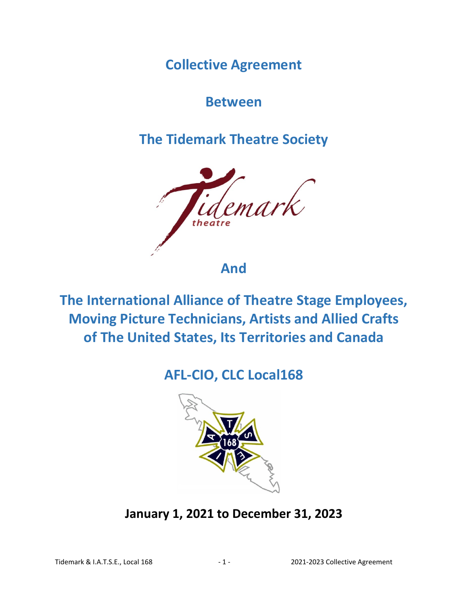**Collective Agreement**

**Between**

**The Tidemark Theatre Society**



**The International Alliance of Theatre Stage Employees, Moving Picture Technicians, Artists and Allied Crafts of The United States, Its Territories and Canada**

# **AFL-CIO, CLC Local168**



**January 1, 2021 to December 31, 2023**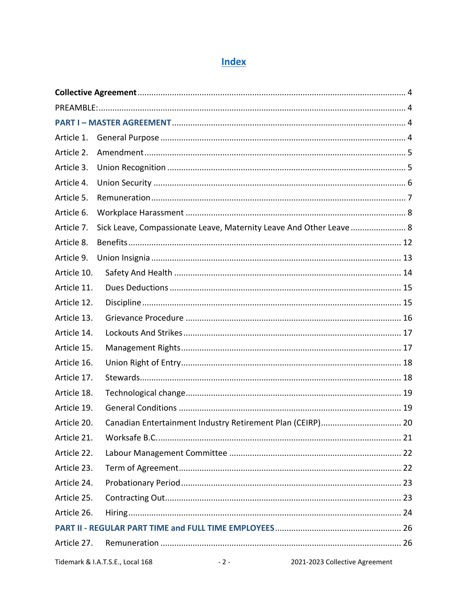## **Index**

| Article 1.  |                                  |       |                                                                     |  |  |  |  |
|-------------|----------------------------------|-------|---------------------------------------------------------------------|--|--|--|--|
| Article 2.  |                                  |       |                                                                     |  |  |  |  |
| Article 3.  |                                  |       |                                                                     |  |  |  |  |
| Article 4.  |                                  |       |                                                                     |  |  |  |  |
| Article 5.  |                                  |       |                                                                     |  |  |  |  |
| Article 6.  |                                  |       |                                                                     |  |  |  |  |
| Article 7.  |                                  |       | Sick Leave, Compassionate Leave, Maternity Leave And Other Leave  8 |  |  |  |  |
| Article 8.  |                                  |       |                                                                     |  |  |  |  |
| Article 9.  |                                  |       |                                                                     |  |  |  |  |
| Article 10. |                                  |       |                                                                     |  |  |  |  |
| Article 11. |                                  |       |                                                                     |  |  |  |  |
| Article 12. |                                  |       |                                                                     |  |  |  |  |
| Article 13. |                                  |       |                                                                     |  |  |  |  |
| Article 14. |                                  |       |                                                                     |  |  |  |  |
| Article 15. |                                  |       |                                                                     |  |  |  |  |
| Article 16. |                                  |       |                                                                     |  |  |  |  |
| Article 17. |                                  |       |                                                                     |  |  |  |  |
| Article 18. |                                  |       |                                                                     |  |  |  |  |
| Article 19. |                                  |       |                                                                     |  |  |  |  |
| Article 20. |                                  |       | Canadian Entertainment Industry Retirement Plan (CEIRP) 20          |  |  |  |  |
| Article 21. |                                  |       |                                                                     |  |  |  |  |
| Article 22. |                                  |       |                                                                     |  |  |  |  |
| Article 23. |                                  |       |                                                                     |  |  |  |  |
| Article 24. |                                  |       |                                                                     |  |  |  |  |
| Article 25. |                                  |       |                                                                     |  |  |  |  |
| Article 26. |                                  |       |                                                                     |  |  |  |  |
|             |                                  |       |                                                                     |  |  |  |  |
| Article 27. |                                  |       |                                                                     |  |  |  |  |
|             | Tidemark & I.A.T.S.E., Local 168 | $-2-$ | 2021-2023 Collective Agreement                                      |  |  |  |  |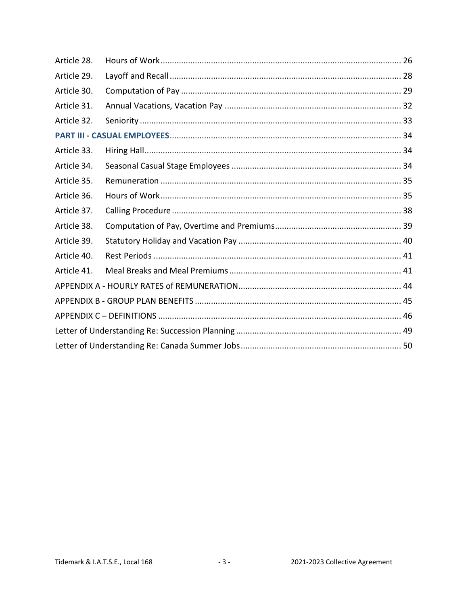| Article 28. |  |  |  |  |  |
|-------------|--|--|--|--|--|
| Article 29. |  |  |  |  |  |
| Article 30. |  |  |  |  |  |
| Article 31. |  |  |  |  |  |
| Article 32. |  |  |  |  |  |
|             |  |  |  |  |  |
| Article 33. |  |  |  |  |  |
| Article 34. |  |  |  |  |  |
| Article 35. |  |  |  |  |  |
| Article 36. |  |  |  |  |  |
| Article 37. |  |  |  |  |  |
| Article 38. |  |  |  |  |  |
| Article 39. |  |  |  |  |  |
| Article 40. |  |  |  |  |  |
| Article 41. |  |  |  |  |  |
|             |  |  |  |  |  |
|             |  |  |  |  |  |
|             |  |  |  |  |  |
|             |  |  |  |  |  |
|             |  |  |  |  |  |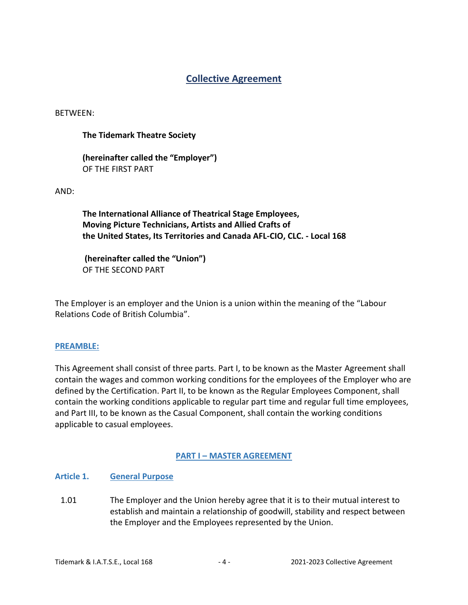## **Collective Agreement**

<span id="page-3-0"></span>BETWEEN:

## **The Tidemark Theatre Society**

**(hereinafter called the "Employer")** OF THE FIRST PART

AND:

**The International Alliance of Theatrical Stage Employees, Moving Picture Technicians, Artists and Allied Crafts of the United States, Its Territories and Canada AFL-CIO, CLC. - Local 168**

**(hereinafter called the "Union")** OF THE SECOND PART

The Employer is an employer and the Union is a union within the meaning of the "Labour Relations Code of British Columbia".

## <span id="page-3-1"></span>**PREAMBLE:**

This Agreement shall consist of three parts. Part I, to be known as the Master Agreement shall contain the wages and common working conditions for the employees of the Employer who are defined by the Certification. Part II, to be known as the Regular Employees Component, shall contain the working conditions applicable to regular part time and regular full time employees, and Part III, to be known as the Casual Component, shall contain the working conditions applicable to casual employees.

## **PART I – MASTER AGREEMENT**

## <span id="page-3-3"></span><span id="page-3-2"></span>**Article 1. General Purpose**

1.01 The Employer and the Union hereby agree that it is to their mutual interest to establish and maintain a relationship of goodwill, stability and respect between the Employer and the Employees represented by the Union.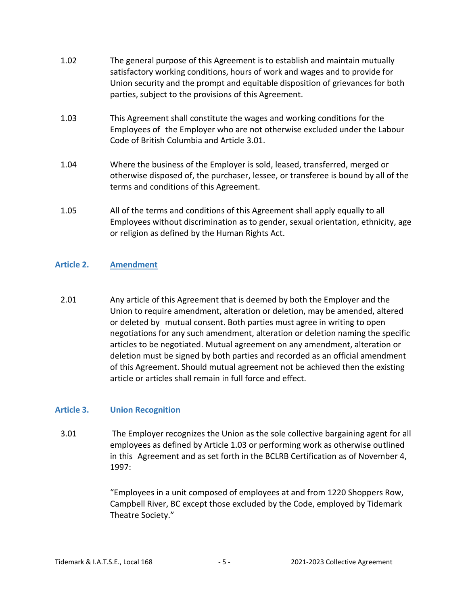- 1.02 The general purpose of this Agreement is to establish and maintain mutually satisfactory working conditions, hours of work and wages and to provide for Union security and the prompt and equitable disposition of grievances for both parties, subject to the provisions of this Agreement.
- 1.03 This Agreement shall constitute the wages and working conditions for the Employees of the Employer who are not otherwise excluded under the Labour Code of British Columbia and Article 3.01.
- 1.04 Where the business of the Employer is sold, leased, transferred, merged or otherwise disposed of, the purchaser, lessee, or transferee is bound by all of the terms and conditions of this Agreement.
- 1.05 All of the terms and conditions of this Agreement shall apply equally to all Employees without discrimination as to gender, sexual orientation, ethnicity, age or religion as defined by the Human Rights Act.

## <span id="page-4-0"></span>**Article 2. Amendment**

2.01 Any article of this Agreement that is deemed by both the Employer and the Union to require amendment, alteration or deletion, may be amended, altered or deleted by mutual consent. Both parties must agree in writing to open negotiations for any such amendment, alteration or deletion naming the specific articles to be negotiated. Mutual agreement on any amendment, alteration or deletion must be signed by both parties and recorded as an official amendment of this Agreement. Should mutual agreement not be achieved then the existing article or articles shall remain in full force and effect.

## <span id="page-4-1"></span>**Article 3. Union Recognition**

3.01 The Employer recognizes the Union as the sole collective bargaining agent for all employees as defined by Article 1.03 or performing work as otherwise outlined in this Agreement and as set forth in the BCLRB Certification as of November 4, 1997:

> "Employees in a unit composed of employees at and from 1220 Shoppers Row, Campbell River, BC except those excluded by the Code, employed by Tidemark Theatre Society."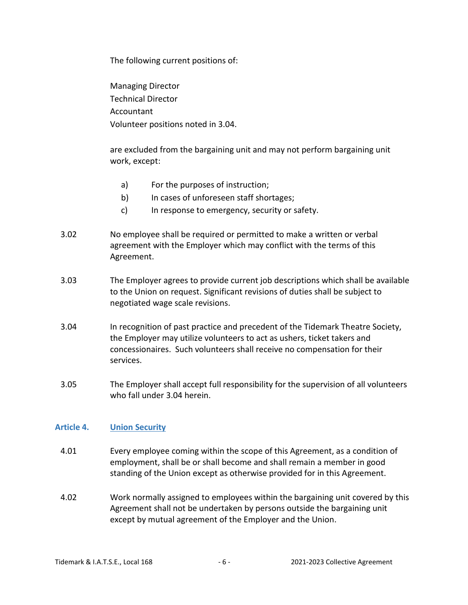The following current positions of:

Managing Director Technical Director Accountant Volunteer positions noted in 3.04.

are excluded from the bargaining unit and may not perform bargaining unit work, except:

- a) For the purposes of instruction;
- b) In cases of unforeseen staff shortages;
- c) In response to emergency, security or safety.
- 3.02 No employee shall be required or permitted to make a written or verbal agreement with the Employer which may conflict with the terms of this Agreement.
- 3.03 The Employer agrees to provide current job descriptions which shall be available to the Union on request. Significant revisions of duties shall be subject to negotiated wage scale revisions.
- 3.04 In recognition of past practice and precedent of the Tidemark Theatre Society, the Employer may utilize volunteers to act as ushers, ticket takers and concessionaires. Such volunteers shall receive no compensation for their services.
- 3.05 The Employer shall accept full responsibility for the supervision of all volunteers who fall under 3.04 herein.

## <span id="page-5-0"></span>**Article 4. Union Security**

- 4.01 Every employee coming within the scope of this Agreement, as a condition of employment, shall be or shall become and shall remain a member in good standing of the Union except as otherwise provided for in this Agreement.
- 4.02 Work normally assigned to employees within the bargaining unit covered by this Agreement shall not be undertaken by persons outside the bargaining unit except by mutual agreement of the Employer and the Union.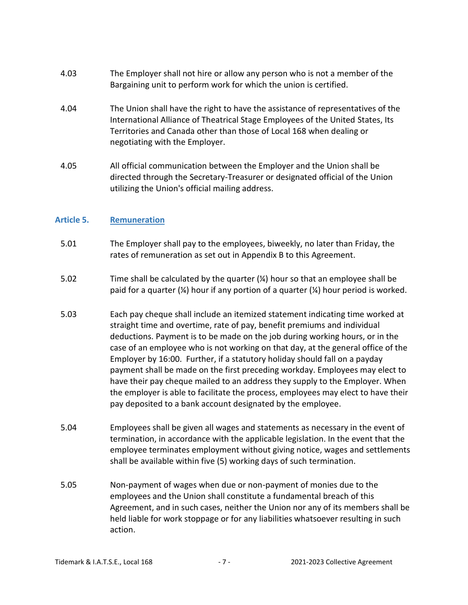- 4.03 The Employer shall not hire or allow any person who is not a member of the Bargaining unit to perform work for which the union is certified.
- 4.04 The Union shall have the right to have the assistance of representatives of the International Alliance of Theatrical Stage Employees of the United States, Its Territories and Canada other than those of Local 168 when dealing or negotiating with the Employer.
- 4.05 All official communication between the Employer and the Union shall be directed through the Secretary-Treasurer or designated official of the Union utilizing the Union's official mailing address.

## <span id="page-6-0"></span>**Article 5. Remuneration**

- 5.01 The Employer shall pay to the employees, biweekly, no later than Friday, the rates of remuneration as set out in Appendix B to this Agreement.
- 5.02 Time shall be calculated by the quarter (¼) hour so that an employee shall be paid for a quarter  $(\frac{1}{4})$  hour if any portion of a quarter  $(\frac{1}{4})$  hour period is worked.
- 5.03 Each pay cheque shall include an itemized statement indicating time worked at straight time and overtime, rate of pay, benefit premiums and individual deductions. Payment is to be made on the job during working hours, or in the case of an employee who is not working on that day, at the general office of the Employer by 16:00. Further, if a statutory holiday should fall on a payday payment shall be made on the first preceding workday. Employees may elect to have their pay cheque mailed to an address they supply to the Employer. When the employer is able to facilitate the process, employees may elect to have their pay deposited to a bank account designated by the employee.
- 5.04 Employees shall be given all wages and statements as necessary in the event of termination, in accordance with the applicable legislation. In the event that the employee terminates employment without giving notice, wages and settlements shall be available within five (5) working days of such termination.
- 5.05 Non-payment of wages when due or non-payment of monies due to the employees and the Union shall constitute a fundamental breach of this Agreement, and in such cases, neither the Union nor any of its members shall be held liable for work stoppage or for any liabilities whatsoever resulting in such action.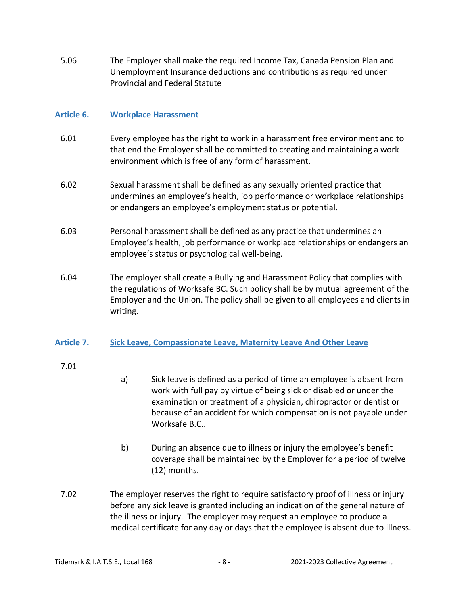5.06 The Employer shall make the required Income Tax, Canada Pension Plan and Unemployment Insurance deductions and contributions as required under Provincial and Federal Statute

## <span id="page-7-0"></span>**Article 6. Workplace Harassment**

- 6.01 Every employee has the right to work in a harassment free environment and to that end the Employer shall be committed to creating and maintaining a work environment which is free of any form of harassment.
- 6.02 Sexual harassment shall be defined as any sexually oriented practice that undermines an employee's health, job performance or workplace relationships or endangers an employee's employment status or potential.
- 6.03 Personal harassment shall be defined as any practice that undermines an Employee's health, job performance or workplace relationships or endangers an employee's status or psychological well-being.
- 6.04 The employer shall create a Bullying and Harassment Policy that complies with the regulations of Worksafe BC. Such policy shall be by mutual agreement of the Employer and the Union. The policy shall be given to all employees and clients in writing.

## <span id="page-7-1"></span>**Article 7. Sick Leave, Compassionate Leave, Maternity Leave And Other Leave**

## 7.01

- a) Sick leave is defined as a period of time an employee is absent from work with full pay by virtue of being sick or disabled or under the examination or treatment of a physician, chiropractor or dentist or because of an accident for which compensation is not payable under Worksafe B.C..
- b) During an absence due to illness or injury the employee's benefit coverage shall be maintained by the Employer for a period of twelve (12) months.
- 7.02 The employer reserves the right to require satisfactory proof of illness or injury before any sick leave is granted including an indication of the general nature of the illness or injury. The employer may request an employee to produce a medical certificate for any day or days that the employee is absent due to illness.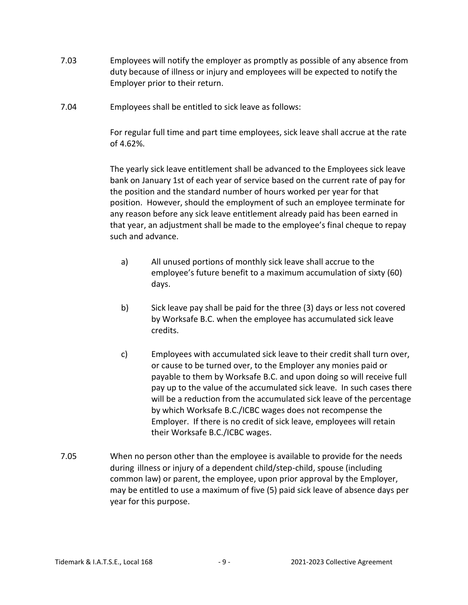- 7.03 Employees will notify the employer as promptly as possible of any absence from duty because of illness or injury and employees will be expected to notify the Employer prior to their return.
- 7.04 Employees shall be entitled to sick leave as follows:

For regular full time and part time employees, sick leave shall accrue at the rate of 4.62%.

The yearly sick leave entitlement shall be advanced to the Employees sick leave bank on January 1st of each year of service based on the current rate of pay for the position and the standard number of hours worked per year for that position. However, should the employment of such an employee terminate for any reason before any sick leave entitlement already paid has been earned in that year, an adjustment shall be made to the employee's final cheque to repay such and advance.

- a) All unused portions of monthly sick leave shall accrue to the employee's future benefit to a maximum accumulation of sixty (60) days.
- b) Sick leave pay shall be paid for the three (3) days or less not covered by Worksafe B.C. when the employee has accumulated sick leave credits.
- c) Employees with accumulated sick leave to their credit shall turn over, or cause to be turned over, to the Employer any monies paid or payable to them by Worksafe B.C. and upon doing so will receive full pay up to the value of the accumulated sick leave. In such cases there will be a reduction from the accumulated sick leave of the percentage by which Worksafe B.C./ICBC wages does not recompense the Employer. If there is no credit of sick leave, employees will retain their Worksafe B.C./ICBC wages.
- 7.05 When no person other than the employee is available to provide for the needs during illness or injury of a dependent child/step-child, spouse (including common law) or parent, the employee, upon prior approval by the Employer, may be entitled to use a maximum of five (5) paid sick leave of absence days per year for this purpose.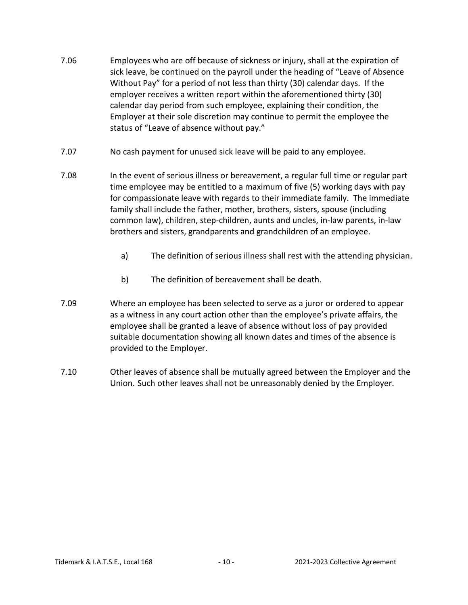- 7.06 Employees who are off because of sickness or injury, shall at the expiration of sick leave, be continued on the payroll under the heading of "Leave of Absence Without Pay" for a period of not less than thirty (30) calendar days. If the employer receives a written report within the aforementioned thirty (30) calendar day period from such employee, explaining their condition, the Employer at their sole discretion may continue to permit the employee the status of "Leave of absence without pay."
- 7.07 No cash payment for unused sick leave will be paid to any employee.
- 7.08 In the event of serious illness or bereavement, a regular full time or regular part time employee may be entitled to a maximum of five (5) working days with pay for compassionate leave with regards to their immediate family. The immediate family shall include the father, mother, brothers, sisters, spouse (including common law), children, step-children, aunts and uncles, in-law parents, in-law brothers and sisters, grandparents and grandchildren of an employee.
	- a) The definition of serious illness shall rest with the attending physician.
	- b) The definition of bereavement shall be death.
- 7.09 Where an employee has been selected to serve as a juror or ordered to appear as a witness in any court action other than the employee's private affairs, the employee shall be granted a leave of absence without loss of pay provided suitable documentation showing all known dates and times of the absence is provided to the Employer.
- 7.10 Other leaves of absence shall be mutually agreed between the Employer and the Union. Such other leaves shall not be unreasonably denied by the Employer.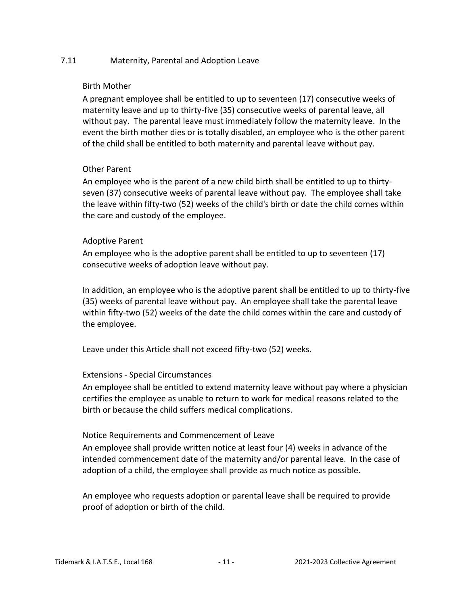## 7.11 Maternity, Parental and Adoption Leave

## Birth Mother

A pregnant employee shall be entitled to up to seventeen (17) consecutive weeks of maternity leave and up to thirty-five (35) consecutive weeks of parental leave, all without pay. The parental leave must immediately follow the maternity leave. In the event the birth mother dies or is totally disabled, an employee who is the other parent of the child shall be entitled to both maternity and parental leave without pay.

## Other Parent

An employee who is the parent of a new child birth shall be entitled to up to thirtyseven (37) consecutive weeks of parental leave without pay. The employee shall take the leave within fifty-two (52) weeks of the child's birth or date the child comes within the care and custody of the employee.

## Adoptive Parent

An employee who is the adoptive parent shall be entitled to up to seventeen (17) consecutive weeks of adoption leave without pay.

In addition, an employee who is the adoptive parent shall be entitled to up to thirty-five (35) weeks of parental leave without pay. An employee shall take the parental leave within fifty-two (52) weeks of the date the child comes within the care and custody of the employee.

Leave under this Article shall not exceed fifty-two (52) weeks.

## Extensions - Special Circumstances

An employee shall be entitled to extend maternity leave without pay where a physician certifies the employee as unable to return to work for medical reasons related to the birth or because the child suffers medical complications.

## Notice Requirements and Commencement of Leave

An employee shall provide written notice at least four (4) weeks in advance of the intended commencement date of the maternity and/or parental leave. In the case of adoption of a child, the employee shall provide as much notice as possible.

An employee who requests adoption or parental leave shall be required to provide proof of adoption or birth of the child.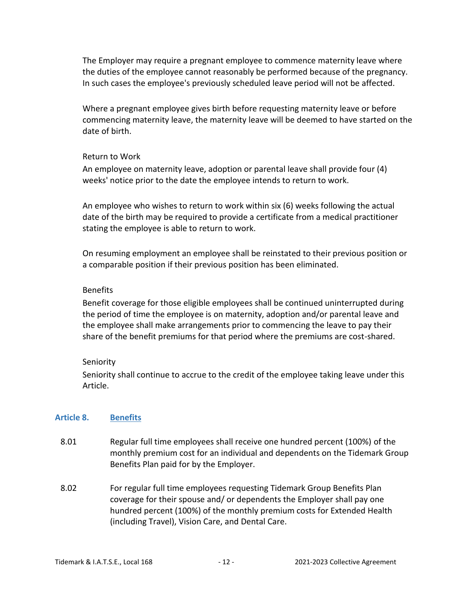The Employer may require a pregnant employee to commence maternity leave where the duties of the employee cannot reasonably be performed because of the pregnancy. In such cases the employee's previously scheduled leave period will not be affected.

Where a pregnant employee gives birth before requesting maternity leave or before commencing maternity leave, the maternity leave will be deemed to have started on the date of birth.

#### Return to Work

An employee on maternity leave, adoption or parental leave shall provide four (4) weeks' notice prior to the date the employee intends to return to work.

An employee who wishes to return to work within six (6) weeks following the actual date of the birth may be required to provide a certificate from a medical practitioner stating the employee is able to return to work.

On resuming employment an employee shall be reinstated to their previous position or a comparable position if their previous position has been eliminated.

## Benefits

Benefit coverage for those eligible employees shall be continued uninterrupted during the period of time the employee is on maternity, adoption and/or parental leave and the employee shall make arrangements prior to commencing the leave to pay their share of the benefit premiums for that period where the premiums are cost-shared.

## Seniority

Seniority shall continue to accrue to the credit of the employee taking leave under this Article.

## <span id="page-11-0"></span>**Article 8. Benefits**

- 8.01 Regular full time employees shall receive one hundred percent (100%) of the monthly premium cost for an individual and dependents on the Tidemark Group Benefits Plan paid for by the Employer.
- 8.02 For regular full time employees requesting Tidemark Group Benefits Plan coverage for their spouse and/ or dependents the Employer shall pay one hundred percent (100%) of the monthly premium costs for Extended Health (including Travel), Vision Care, and Dental Care.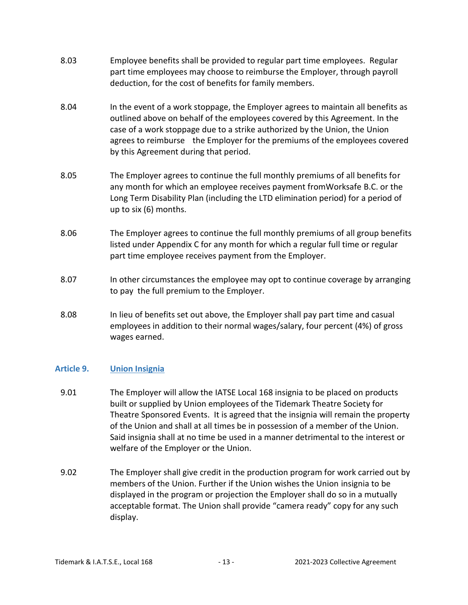- 8.03 Employee benefits shall be provided to regular part time employees. Regular part time employees may choose to reimburse the Employer, through payroll deduction, for the cost of benefits for family members.
- 8.04 In the event of a work stoppage, the Employer agrees to maintain all benefits as outlined above on behalf of the employees covered by this Agreement. In the case of a work stoppage due to a strike authorized by the Union, the Union agrees to reimburse the Employer for the premiums of the employees covered by this Agreement during that period.
- 8.05 The Employer agrees to continue the full monthly premiums of all benefits for any month for which an employee receives payment fromWorksafe B.C. or the Long Term Disability Plan (including the LTD elimination period) for a period of up to six (6) months.
- 8.06 The Employer agrees to continue the full monthly premiums of all group benefits listed under Appendix C for any month for which a regular full time or regular part time employee receives payment from the Employer.
- 8.07 In other circumstances the employee may opt to continue coverage by arranging to pay the full premium to the Employer.
- 8.08 In lieu of benefits set out above, the Employer shall pay part time and casual employees in addition to their normal wages/salary, four percent (4%) of gross wages earned.

## <span id="page-12-0"></span>**Article 9. Union Insignia**

- 9.01 The Employer will allow the IATSE Local 168 insignia to be placed on products built or supplied by Union employees of the Tidemark Theatre Society for Theatre Sponsored Events. It is agreed that the insignia will remain the property of the Union and shall at all times be in possession of a member of the Union. Said insignia shall at no time be used in a manner detrimental to the interest or welfare of the Employer or the Union.
- 9.02 The Employer shall give credit in the production program for work carried out by members of the Union. Further if the Union wishes the Union insignia to be displayed in the program or projection the Employer shall do so in a mutually acceptable format. The Union shall provide "camera ready" copy for any such display.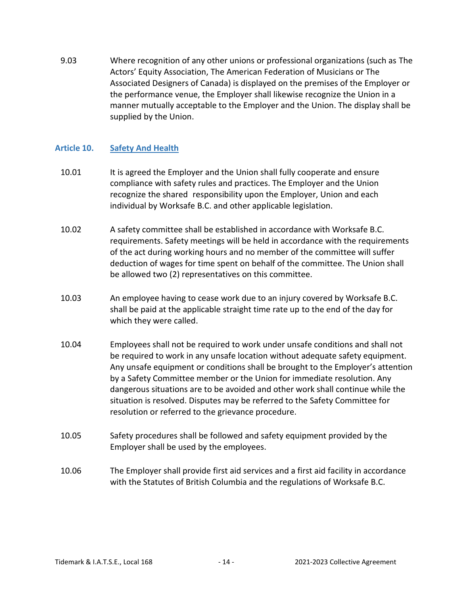9.03 Where recognition of any other unions or professional organizations (such as The Actors' Equity Association, The American Federation of Musicians or The Associated Designers of Canada) is displayed on the premises of the Employer or the performance venue, the Employer shall likewise recognize the Union in a manner mutually acceptable to the Employer and the Union. The display shall be supplied by the Union.

## <span id="page-13-0"></span>**Article 10. Safety And Health**

- 10.01 It is agreed the Employer and the Union shall fully cooperate and ensure compliance with safety rules and practices. The Employer and the Union recognize the shared responsibility upon the Employer, Union and each individual by Worksafe B.C. and other applicable legislation.
- 10.02 A safety committee shall be established in accordance with Worksafe B.C. requirements. Safety meetings will be held in accordance with the requirements of the act during working hours and no member of the committee will suffer deduction of wages for time spent on behalf of the committee. The Union shall be allowed two (2) representatives on this committee.
- 10.03 An employee having to cease work due to an injury covered by Worksafe B.C. shall be paid at the applicable straight time rate up to the end of the day for which they were called.
- 10.04 Employees shall not be required to work under unsafe conditions and shall not be required to work in any unsafe location without adequate safety equipment. Any unsafe equipment or conditions shall be brought to the Employer's attention by a Safety Committee member or the Union for immediate resolution. Any dangerous situations are to be avoided and other work shall continue while the situation is resolved. Disputes may be referred to the Safety Committee for resolution or referred to the grievance procedure.
- 10.05 Safety procedures shall be followed and safety equipment provided by the Employer shall be used by the employees.
- 10.06 The Employer shall provide first aid services and a first aid facility in accordance with the Statutes of British Columbia and the regulations of Worksafe B.C.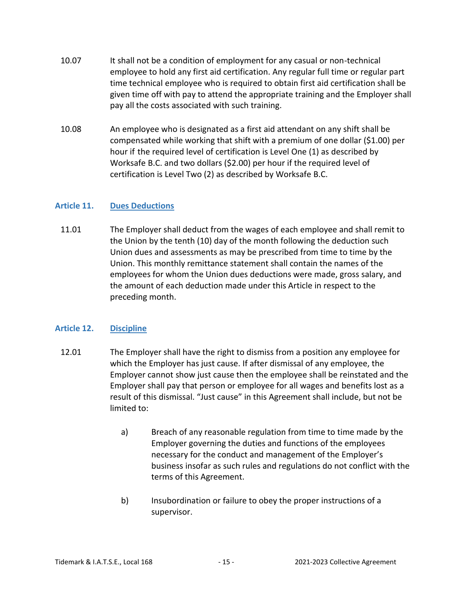- 10.07 It shall not be a condition of employment for any casual or non-technical employee to hold any first aid certification. Any regular full time or regular part time technical employee who is required to obtain first aid certification shall be given time off with pay to attend the appropriate training and the Employer shall pay all the costs associated with such training.
- 10.08 An employee who is designated as a first aid attendant on any shift shall be compensated while working that shift with a premium of one dollar (\$1.00) per hour if the required level of certification is Level One (1) as described by Worksafe B.C. and two dollars (\$2.00) per hour if the required level of certification is Level Two (2) as described by Worksafe B.C.

## <span id="page-14-0"></span>**Article 11. Dues Deductions**

11.01 The Employer shall deduct from the wages of each employee and shall remit to the Union by the tenth (10) day of the month following the deduction such Union dues and assessments as may be prescribed from time to time by the Union. This monthly remittance statement shall contain the names of the employees for whom the Union dues deductions were made, gross salary, and the amount of each deduction made under this Article in respect to the preceding month.

## <span id="page-14-1"></span>**Article 12. Discipline**

- 12.01 The Employer shall have the right to dismiss from a position any employee for which the Employer has just cause. If after dismissal of any employee, the Employer cannot show just cause then the employee shall be reinstated and the Employer shall pay that person or employee for all wages and benefits lost as a result of this dismissal. "Just cause" in this Agreement shall include, but not be limited to:
	- a) Breach of any reasonable regulation from time to time made by the Employer governing the duties and functions of the employees necessary for the conduct and management of the Employer's business insofar as such rules and regulations do not conflict with the terms of this Agreement.
	- b) Insubordination or failure to obey the proper instructions of a supervisor.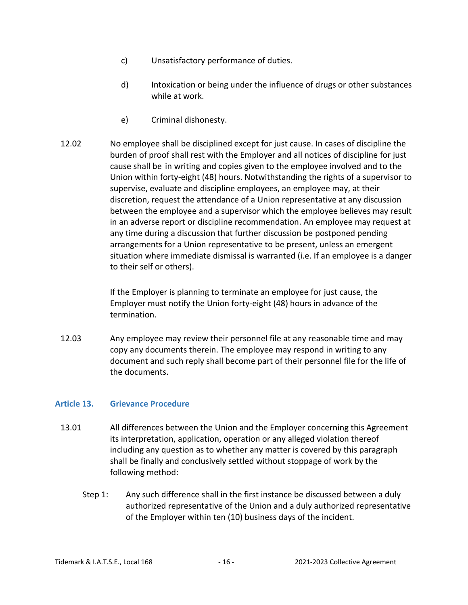- c) Unsatisfactory performance of duties.
- d) Intoxication or being under the influence of drugs or other substances while at work.
- e) Criminal dishonesty.
- 12.02 No employee shall be disciplined except for just cause. In cases of discipline the burden of proof shall rest with the Employer and all notices of discipline for just cause shall be in writing and copies given to the employee involved and to the Union within forty-eight (48) hours. Notwithstanding the rights of a supervisor to supervise, evaluate and discipline employees, an employee may, at their discretion, request the attendance of a Union representative at any discussion between the employee and a supervisor which the employee believes may result in an adverse report or discipline recommendation. An employee may request at any time during a discussion that further discussion be postponed pending arrangements for a Union representative to be present, unless an emergent situation where immediate dismissal is warranted (i.e. If an employee is a danger to their self or others).

If the Employer is planning to terminate an employee for just cause, the Employer must notify the Union forty-eight (48) hours in advance of the termination.

12.03 Any employee may review their personnel file at any reasonable time and may copy any documents therein. The employee may respond in writing to any document and such reply shall become part of their personnel file for the life of the documents.

## <span id="page-15-0"></span>**Article 13. Grievance Procedure**

- 13.01 All differences between the Union and the Employer concerning this Agreement its interpretation, application, operation or any alleged violation thereof including any question as to whether any matter is covered by this paragraph shall be finally and conclusively settled without stoppage of work by the following method:
	- Step 1: Any such difference shall in the first instance be discussed between a duly authorized representative of the Union and a duly authorized representative of the Employer within ten (10) business days of the incident.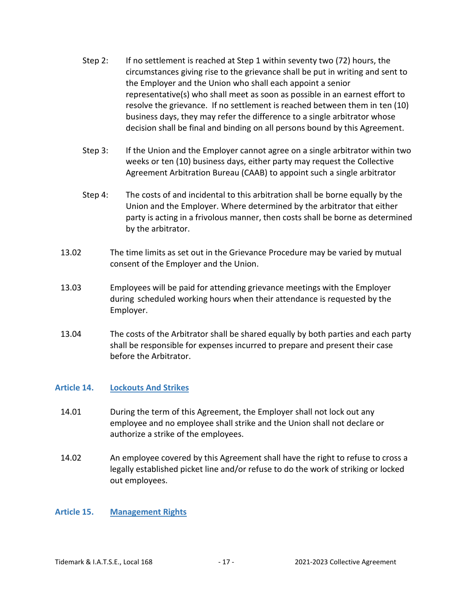- Step 2: If no settlement is reached at Step 1 within seventy two (72) hours, the circumstances giving rise to the grievance shall be put in writing and sent to the Employer and the Union who shall each appoint a senior representative(s) who shall meet as soon as possible in an earnest effort to resolve the grievance. If no settlement is reached between them in ten (10) business days, they may refer the difference to a single arbitrator whose decision shall be final and binding on all persons bound by this Agreement.
- Step 3: If the Union and the Employer cannot agree on a single arbitrator within two weeks or ten (10) business days, either party may request the Collective Agreement Arbitration Bureau (CAAB) to appoint such a single arbitrator
- Step 4: The costs of and incidental to this arbitration shall be borne equally by the Union and the Employer. Where determined by the arbitrator that either party is acting in a frivolous manner, then costs shall be borne as determined by the arbitrator.
- 13.02 The time limits as set out in the Grievance Procedure may be varied by mutual consent of the Employer and the Union.
- 13.03 Employees will be paid for attending grievance meetings with the Employer during scheduled working hours when their attendance is requested by the Employer.
- 13.04 The costs of the Arbitrator shall be shared equally by both parties and each party shall be responsible for expenses incurred to prepare and present their case before the Arbitrator.

## <span id="page-16-0"></span>**Article 14. Lockouts And Strikes**

- 14.01 During the term of this Agreement, the Employer shall not lock out any employee and no employee shall strike and the Union shall not declare or authorize a strike of the employees.
- 14.02 An employee covered by this Agreement shall have the right to refuse to cross a legally established picket line and/or refuse to do the work of striking or locked out employees.

## <span id="page-16-1"></span>**Article 15. Management Rights**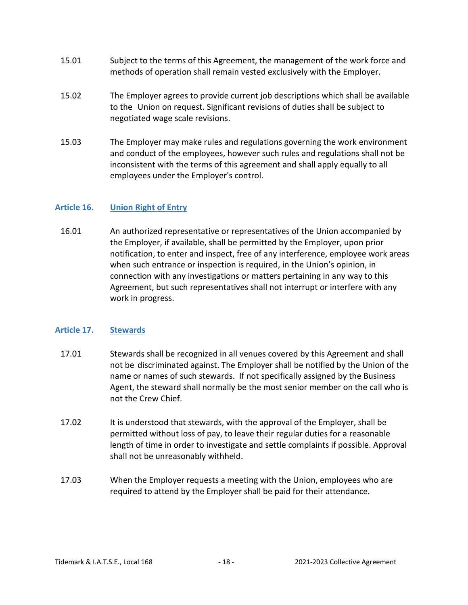- 15.01 Subject to the terms of this Agreement, the management of the work force and methods of operation shall remain vested exclusively with the Employer.
- 15.02 The Employer agrees to provide current job descriptions which shall be available to the Union on request. Significant revisions of duties shall be subject to negotiated wage scale revisions.
- 15.03 The Employer may make rules and regulations governing the work environment and conduct of the employees, however such rules and regulations shall not be inconsistent with the terms of this agreement and shall apply equally to all employees under the Employer's control.

## <span id="page-17-0"></span>**Article 16. Union Right of Entry**

16.01 An authorized representative or representatives of the Union accompanied by the Employer, if available, shall be permitted by the Employer, upon prior notification, to enter and inspect, free of any interference, employee work areas when such entrance or inspection is required, in the Union's opinion, in connection with any investigations or matters pertaining in any way to this Agreement, but such representatives shall not interrupt or interfere with any work in progress.

## <span id="page-17-1"></span>**Article 17. Stewards**

- 17.01 Stewards shall be recognized in all venues covered by this Agreement and shall not be discriminated against. The Employer shall be notified by the Union of the name or names of such stewards. If not specifically assigned by the Business Agent, the steward shall normally be the most senior member on the call who is not the Crew Chief.
- 17.02 It is understood that stewards, with the approval of the Employer, shall be permitted without loss of pay, to leave their regular duties for a reasonable length of time in order to investigate and settle complaints if possible. Approval shall not be unreasonably withheld.
- 17.03 When the Employer requests a meeting with the Union, employees who are required to attend by the Employer shall be paid for their attendance.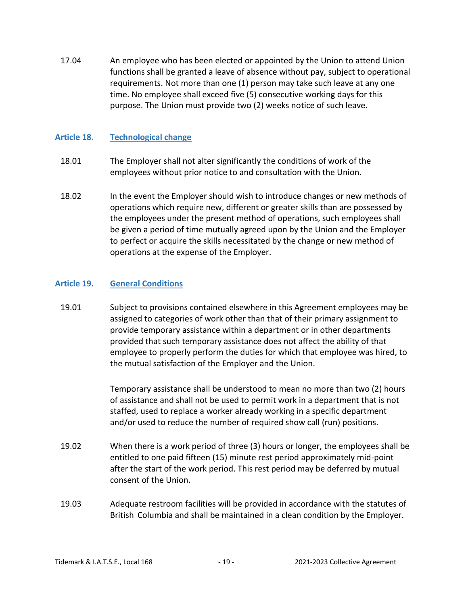17.04 An employee who has been elected or appointed by the Union to attend Union functions shall be granted a leave of absence without pay, subject to operational requirements. Not more than one (1) person may take such leave at any one time. No employee shall exceed five (5) consecutive working days for this purpose. The Union must provide two (2) weeks notice of such leave.

## <span id="page-18-0"></span>**Article 18. Technological change**

- 18.01 The Employer shall not alter significantly the conditions of work of the employees without prior notice to and consultation with the Union.
- 18.02 In the event the Employer should wish to introduce changes or new methods of operations which require new, different or greater skills than are possessed by the employees under the present method of operations, such employees shall be given a period of time mutually agreed upon by the Union and the Employer to perfect or acquire the skills necessitated by the change or new method of operations at the expense of the Employer.

## <span id="page-18-1"></span>**Article 19. General Conditions**

19.01 Subject to provisions contained elsewhere in this Agreement employees may be assigned to categories of work other than that of their primary assignment to provide temporary assistance within a department or in other departments provided that such temporary assistance does not affect the ability of that employee to properly perform the duties for which that employee was hired, to the mutual satisfaction of the Employer and the Union.

> Temporary assistance shall be understood to mean no more than two (2) hours of assistance and shall not be used to permit work in a department that is not staffed, used to replace a worker already working in a specific department and/or used to reduce the number of required show call (run) positions.

- 19.02 When there is a work period of three (3) hours or longer, the employees shall be entitled to one paid fifteen (15) minute rest period approximately mid-point after the start of the work period. This rest period may be deferred by mutual consent of the Union.
- 19.03 Adequate restroom facilities will be provided in accordance with the statutes of British Columbia and shall be maintained in a clean condition by the Employer.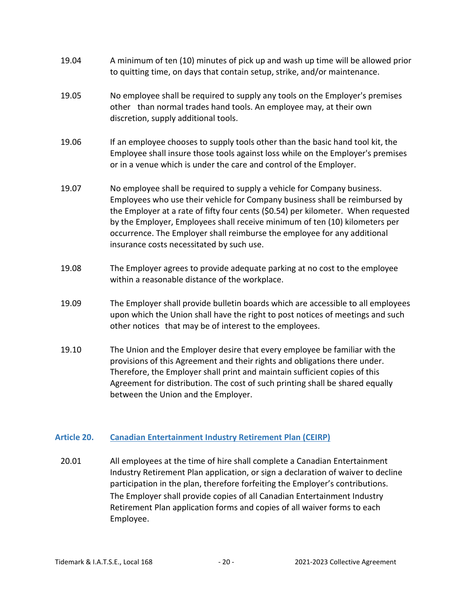- 19.04 A minimum of ten (10) minutes of pick up and wash up time will be allowed prior to quitting time, on days that contain setup, strike, and/or maintenance.
- 19.05 No employee shall be required to supply any tools on the Employer's premises other than normal trades hand tools. An employee may, at their own discretion, supply additional tools.
- 19.06 If an employee chooses to supply tools other than the basic hand tool kit, the Employee shall insure those tools against loss while on the Employer's premises or in a venue which is under the care and control of the Employer.
- 19.07 No employee shall be required to supply a vehicle for Company business. Employees who use their vehicle for Company business shall be reimbursed by the Employer at a rate of fifty four cents (\$0.54) per kilometer. When requested by the Employer, Employees shall receive minimum of ten (10) kilometers per occurrence. The Employer shall reimburse the employee for any additional insurance costs necessitated by such use.
- 19.08 The Employer agrees to provide adequate parking at no cost to the employee within a reasonable distance of the workplace.
- 19.09 The Employer shall provide bulletin boards which are accessible to all employees upon which the Union shall have the right to post notices of meetings and such other notices that may be of interest to the employees.
- 19.10 The Union and the Employer desire that every employee be familiar with the provisions of this Agreement and their rights and obligations there under. Therefore, the Employer shall print and maintain sufficient copies of this Agreement for distribution. The cost of such printing shall be shared equally between the Union and the Employer.

## <span id="page-19-0"></span>**Article 20. Canadian Entertainment Industry Retirement Plan (CEIRP)**

20.01 All employees at the time of hire shall complete a Canadian Entertainment Industry Retirement Plan application, or sign a declaration of waiver to decline participation in the plan, therefore forfeiting the Employer's contributions. The Employer shall provide copies of all Canadian Entertainment Industry Retirement Plan application forms and copies of all waiver forms to each Employee.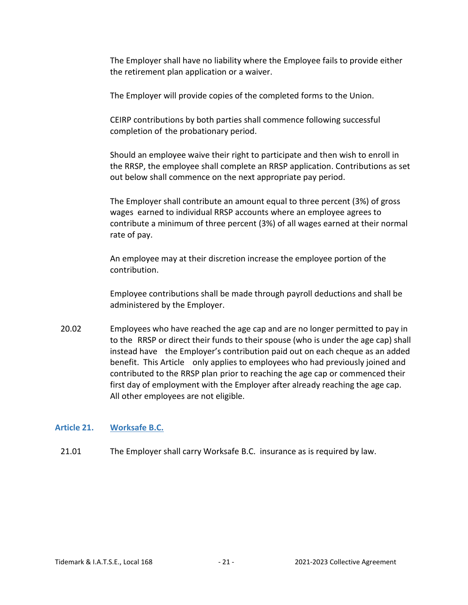The Employer shall have no liability where the Employee fails to provide either the retirement plan application or a waiver.

The Employer will provide copies of the completed forms to the Union.

CEIRP contributions by both parties shall commence following successful completion of the probationary period.

Should an employee waive their right to participate and then wish to enroll in the RRSP, the employee shall complete an RRSP application. Contributions as set out below shall commence on the next appropriate pay period.

The Employer shall contribute an amount equal to three percent (3%) of gross wages earned to individual RRSP accounts where an employee agrees to contribute a minimum of three percent (3%) of all wages earned at their normal rate of pay.

An employee may at their discretion increase the employee portion of the contribution.

Employee contributions shall be made through payroll deductions and shall be administered by the Employer.

20.02 Employees who have reached the age cap and are no longer permitted to pay in to the RRSP or direct their funds to their spouse (who is under the age cap) shall instead have the Employer's contribution paid out on each cheque as an added benefit. This Article only applies to employees who had previously joined and contributed to the RRSP plan prior to reaching the age cap or commenced their first day of employment with the Employer after already reaching the age cap. All other employees are not eligible.

## <span id="page-20-0"></span>**Article 21. Worksafe B.C.**

21.01 The Employer shall carry Worksafe B.C. insurance as is required by law.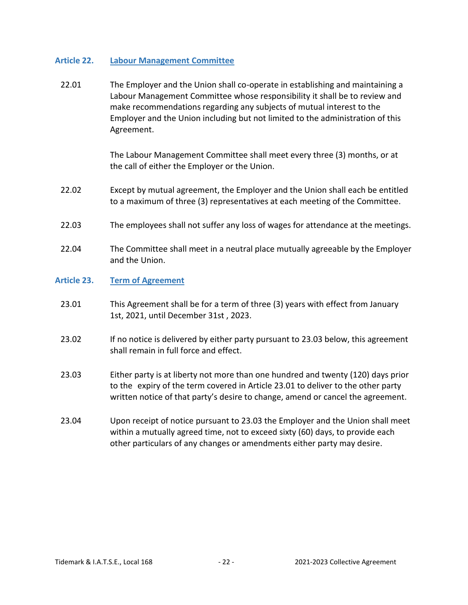## <span id="page-21-0"></span>**Article 22. Labour Management Committee**

22.01 The Employer and the Union shall co-operate in establishing and maintaining a Labour Management Committee whose responsibility it shall be to review and make recommendations regarding any subjects of mutual interest to the Employer and the Union including but not limited to the administration of this Agreement.

> The Labour Management Committee shall meet every three (3) months, or at the call of either the Employer or the Union.

- 22.02 Except by mutual agreement, the Employer and the Union shall each be entitled to a maximum of three (3) representatives at each meeting of the Committee.
- 22.03 The employees shall not suffer any loss of wages for attendance at the meetings.
- 22.04 The Committee shall meet in a neutral place mutually agreeable by the Employer and the Union.

## <span id="page-21-1"></span>**Article 23. Term of Agreement**

- 23.01 This Agreement shall be for a term of three (3) years with effect from January 1st, 2021, until December 31st , 2023.
- 23.02 If no notice is delivered by either party pursuant to 23.03 below, this agreement shall remain in full force and effect.
- 23.03 Either party is at liberty not more than one hundred and twenty (120) days prior to the expiry of the term covered in Article 23.01 to deliver to the other party written notice of that party's desire to change, amend or cancel the agreement.
- 23.04 Upon receipt of notice pursuant to 23.03 the Employer and the Union shall meet within a mutually agreed time, not to exceed sixty (60) days, to provide each other particulars of any changes or amendments either party may desire.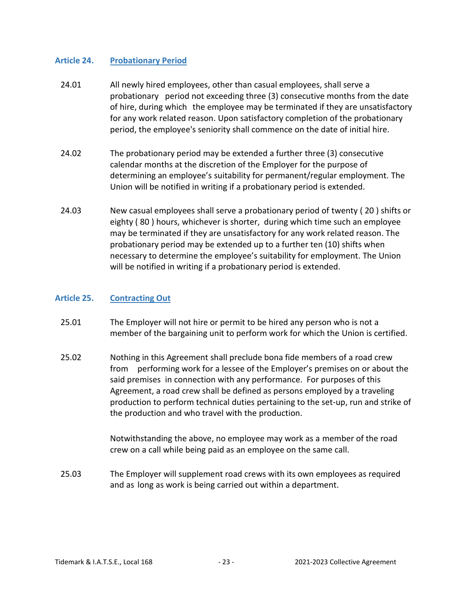## <span id="page-22-0"></span>**Article 24. Probationary Period**

- 24.01 All newly hired employees, other than casual employees, shall serve a probationary period not exceeding three (3) consecutive months from the date of hire, during which the employee may be terminated if they are unsatisfactory for any work related reason. Upon satisfactory completion of the probationary period, the employee's seniority shall commence on the date of initial hire.
- 24.02 The probationary period may be extended a further three (3) consecutive calendar months at the discretion of the Employer for the purpose of determining an employee's suitability for permanent/regular employment. The Union will be notified in writing if a probationary period is extended.
- 24.03 New casual employees shall serve a probationary period of twenty ( 20 ) shifts or eighty ( 80 ) hours, whichever is shorter, during which time such an employee may be terminated if they are unsatisfactory for any work related reason. The probationary period may be extended up to a further ten (10) shifts when necessary to determine the employee's suitability for employment. The Union will be notified in writing if a probationary period is extended.

## <span id="page-22-1"></span>**Article 25. Contracting Out**

- 25.01 The Employer will not hire or permit to be hired any person who is not a member of the bargaining unit to perform work for which the Union is certified.
- 25.02 Nothing in this Agreement shall preclude bona fide members of a road crew from performing work for a lessee of the Employer's premises on or about the said premises in connection with any performance. For purposes of this Agreement, a road crew shall be defined as persons employed by a traveling production to perform technical duties pertaining to the set-up, run and strike of the production and who travel with the production.

Notwithstanding the above, no employee may work as a member of the road crew on a call while being paid as an employee on the same call.

25.03 The Employer will supplement road crews with its own employees as required and as long as work is being carried out within a department.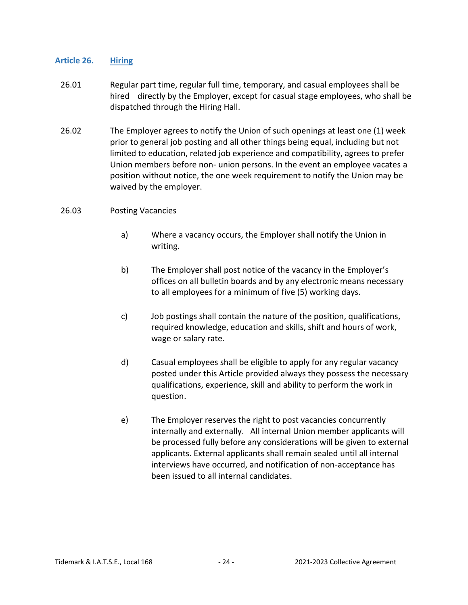## <span id="page-23-0"></span>**Article 26. Hiring**

- 26.01 Regular part time, regular full time, temporary, and casual employees shall be hired directly by the Employer, except for casual stage employees, who shall be dispatched through the Hiring Hall.
- 26.02 The Employer agrees to notify the Union of such openings at least one (1) week prior to general job posting and all other things being equal, including but not limited to education, related job experience and compatibility, agrees to prefer Union members before non- union persons. In the event an employee vacates a position without notice, the one week requirement to notify the Union may be waived by the employer.
- 26.03 Posting Vacancies
	- a) Where a vacancy occurs, the Employer shall notify the Union in writing.
	- b) The Employer shall post notice of the vacancy in the Employer's offices on all bulletin boards and by any electronic means necessary to all employees for a minimum of five (5) working days.
	- c) Job postings shall contain the nature of the position, qualifications, required knowledge, education and skills, shift and hours of work, wage or salary rate.
	- d) Casual employees shall be eligible to apply for any regular vacancy posted under this Article provided always they possess the necessary qualifications, experience, skill and ability to perform the work in question.
	- e) The Employer reserves the right to post vacancies concurrently internally and externally. All internal Union member applicants will be processed fully before any considerations will be given to external applicants. External applicants shall remain sealed until all internal interviews have occurred, and notification of non-acceptance has been issued to all internal candidates.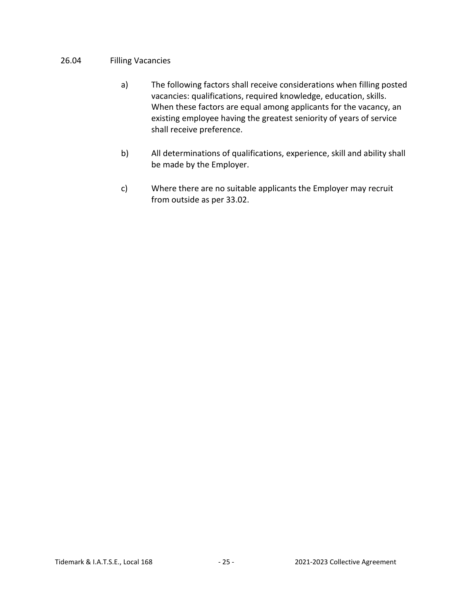## 26.04 Filling Vacancies

- a) The following factors shall receive considerations when filling posted vacancies: qualifications, required knowledge, education, skills. When these factors are equal among applicants for the vacancy, an existing employee having the greatest seniority of years of service shall receive preference.
- b) All determinations of qualifications, experience, skill and ability shall be made by the Employer.
- c) Where there are no suitable applicants the Employer may recruit from outside as per 33.02.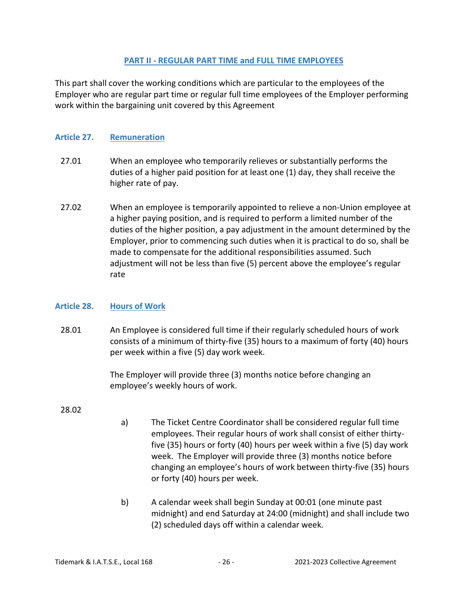#### **PART II - REGULAR PART TIME and FULL TIME EMPLOYEES**

<span id="page-25-0"></span>This part shall cover the working conditions which are particular to the employees of the Employer who are regular part time or regular full time employees of the Employer performing work within the bargaining unit covered by this Agreement

## <span id="page-25-1"></span>**Article 27. Remuneration**

- 27.01 When an employee who temporarily relieves or substantially performs the duties of a higher paid position for at least one (1) day, they shall receive the higher rate of pay.
- 27.02 When an employee is temporarily appointed to relieve a non-Union employee at a higher paying position, and is required to perform a limited number of the duties of the higher position, a pay adjustment in the amount determined by the Employer, prior to commencing such duties when it is practical to do so, shall be made to compensate for the additional responsibilities assumed. Such adjustment will not be less than five (5) percent above the employee's regular rate

## <span id="page-25-2"></span>**Article 28. Hours of Work**

28.01 An Employee is considered full time if their regularly scheduled hours of work consists of a minimum of thirty-five (35) hours to a maximum of forty (40) hours per week within a five (5) day work week.

> The Employer will provide three (3) months notice before changing an employee's weekly hours of work.

#### 28.02

- a) The Ticket Centre Coordinator shall be considered regular full time employees. Their regular hours of work shall consist of either thirtyfive (35) hours or forty (40) hours per week within a five (5) day work week. The Employer will provide three (3) months notice before changing an employee's hours of work between thirty-five (35) hours or forty (40) hours per week.
- b) A calendar week shall begin Sunday at 00:01 (one minute past midnight) and end Saturday at 24:00 (midnight) and shall include two (2) scheduled days off within a calendar week.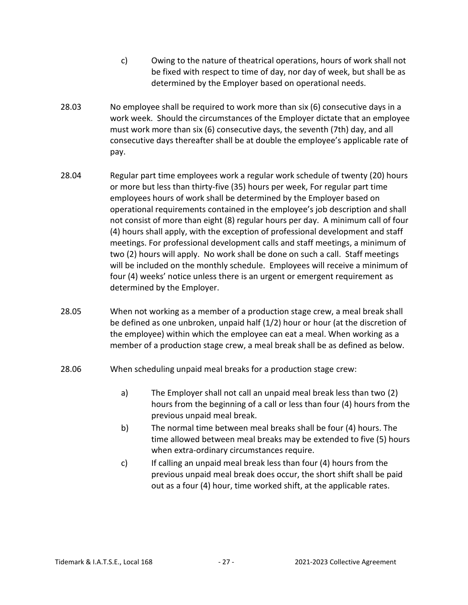- c) Owing to the nature of theatrical operations, hours of work shall not be fixed with respect to time of day, nor day of week, but shall be as determined by the Employer based on operational needs.
- 28.03 No employee shall be required to work more than six (6) consecutive days in a work week. Should the circumstances of the Employer dictate that an employee must work more than six (6) consecutive days, the seventh (7th) day, and all consecutive days thereafter shall be at double the employee's applicable rate of pay.
- 28.04 Regular part time employees work a regular work schedule of twenty (20) hours or more but less than thirty-five (35) hours per week, For regular part time employees hours of work shall be determined by the Employer based on operational requirements contained in the employee's job description and shall not consist of more than eight (8) regular hours per day. A minimum call of four (4) hours shall apply, with the exception of professional development and staff meetings. For professional development calls and staff meetings, a minimum of two (2) hours will apply. No work shall be done on such a call. Staff meetings will be included on the monthly schedule. Employees will receive a minimum of four (4) weeks' notice unless there is an urgent or emergent requirement as determined by the Employer.
- 28.05 When not working as a member of a production stage crew, a meal break shall be defined as one unbroken, unpaid half (1/2) hour or hour (at the discretion of the employee) within which the employee can eat a meal. When working as a member of a production stage crew, a meal break shall be as defined as below.
- 28.06 When scheduling unpaid meal breaks for a production stage crew:
	- a) The Employer shall not call an unpaid meal break less than two (2) hours from the beginning of a call or less than four (4) hours from the previous unpaid meal break.
	- b) The normal time between meal breaks shall be four (4) hours. The time allowed between meal breaks may be extended to five (5) hours when extra-ordinary circumstances require.
	- c) If calling an unpaid meal break less than four (4) hours from the previous unpaid meal break does occur, the short shift shall be paid out as a four (4) hour, time worked shift, at the applicable rates.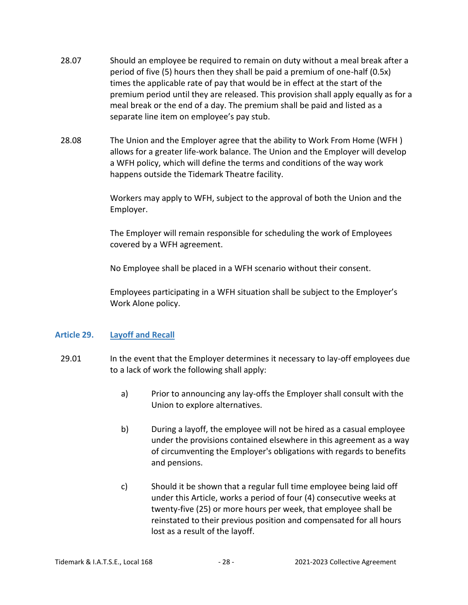- 28.07 Should an employee be required to remain on duty without a meal break after a period of five (5) hours then they shall be paid a premium of one-half (0.5x) times the applicable rate of pay that would be in effect at the start of the premium period until they are released. This provision shall apply equally as for a meal break or the end of a day. The premium shall be paid and listed as a separate line item on employee's pay stub.
- 28.08 The Union and the Employer agree that the ability to Work From Home (WFH ) allows for a greater life-work balance. The Union and the Employer will develop a WFH policy, which will define the terms and conditions of the way work happens outside the Tidemark Theatre facility.

Workers may apply to WFH, subject to the approval of both the Union and the Employer.

The Employer will remain responsible for scheduling the work of Employees covered by a WFH agreement.

No Employee shall be placed in a WFH scenario without their consent.

Employees participating in a WFH situation shall be subject to the Employer's Work Alone policy.

## <span id="page-27-0"></span>**Article 29. Layoff and Recall**

- 29.01 In the event that the Employer determines it necessary to lay-off employees due to a lack of work the following shall apply:
	- a) Prior to announcing any lay-offs the Employer shall consult with the Union to explore alternatives.
	- b) During a layoff, the employee will not be hired as a casual employee under the provisions contained elsewhere in this agreement as a way of circumventing the Employer's obligations with regards to benefits and pensions.
	- c) Should it be shown that a regular full time employee being laid off under this Article, works a period of four (4) consecutive weeks at twenty-five (25) or more hours per week, that employee shall be reinstated to their previous position and compensated for all hours lost as a result of the layoff.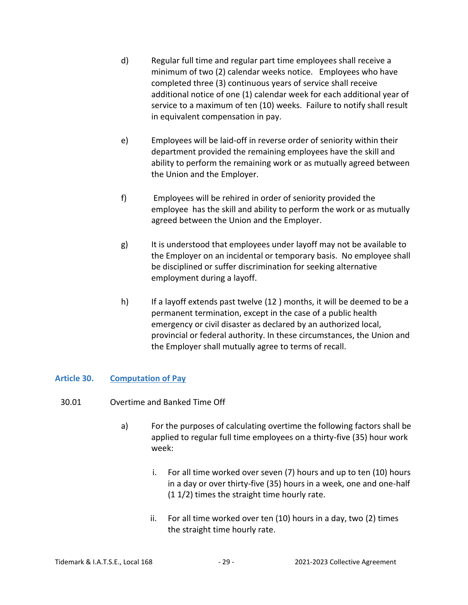- d) Regular full time and regular part time employees shall receive a minimum of two (2) calendar weeks notice. Employees who have completed three (3) continuous years of service shall receive additional notice of one (1) calendar week for each additional year of service to a maximum of ten (10) weeks. Failure to notify shall result in equivalent compensation in pay.
- e) Employees will be laid-off in reverse order of seniority within their department provided the remaining employees have the skill and ability to perform the remaining work or as mutually agreed between the Union and the Employer.
- f) Employees will be rehired in order of seniority provided the employee has the skill and ability to perform the work or as mutually agreed between the Union and the Employer.
- g) It is understood that employees under layoff may not be available to the Employer on an incidental or temporary basis. No employee shall be disciplined or suffer discrimination for seeking alternative employment during a layoff.
- h) If a layoff extends past twelve (12 ) months, it will be deemed to be a permanent termination, except in the case of a public health emergency or civil disaster as declared by an authorized local, provincial or federal authority. In these circumstances, the Union and the Employer shall mutually agree to terms of recall.

## <span id="page-28-0"></span>**Article 30. Computation of Pay**

- 30.01 Overtime and Banked Time Off
	- a) For the purposes of calculating overtime the following factors shall be applied to regular full time employees on a thirty-five (35) hour work week:
		- i. For all time worked over seven (7) hours and up to ten (10) hours in a day or over thirty-five (35) hours in a week, one and one-half (1 1/2) times the straight time hourly rate.
		- ii. For all time worked over ten (10) hours in a day, two (2) times the straight time hourly rate.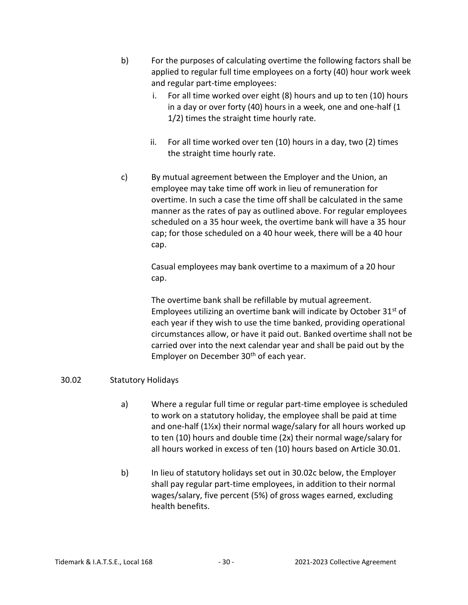- b) For the purposes of calculating overtime the following factors shall be applied to regular full time employees on a forty (40) hour work week and regular part-time employees:
	- i. For all time worked over eight (8) hours and up to ten (10) hours in a day or over forty (40) hours in a week, one and one-half (1 1/2) times the straight time hourly rate.
	- ii. For all time worked over ten (10) hours in a day, two (2) times the straight time hourly rate.
- c) By mutual agreement between the Employer and the Union, an employee may take time off work in lieu of remuneration for overtime. In such a case the time off shall be calculated in the same manner as the rates of pay as outlined above. For regular employees scheduled on a 35 hour week, the overtime bank will have a 35 hour cap; for those scheduled on a 40 hour week, there will be a 40 hour cap.

Casual employees may bank overtime to a maximum of a 20 hour cap.

The overtime bank shall be refillable by mutual agreement. Employees utilizing an overtime bank will indicate by October  $31<sup>st</sup>$  of each year if they wish to use the time banked, providing operational circumstances allow, or have it paid out. Banked overtime shall not be carried over into the next calendar year and shall be paid out by the Employer on December 30<sup>th</sup> of each year.

## 30.02 Statutory Holidays

- a) Where a regular full time or regular part-time employee is scheduled to work on a statutory holiday, the employee shall be paid at time and one-half (1½x) their normal wage/salary for all hours worked up to ten (10) hours and double time (2x) their normal wage/salary for all hours worked in excess of ten (10) hours based on Article 30.01.
- b) In lieu of statutory holidays set out in 30.02c below, the Employer shall pay regular part-time employees, in addition to their normal wages/salary, five percent (5%) of gross wages earned, excluding health benefits.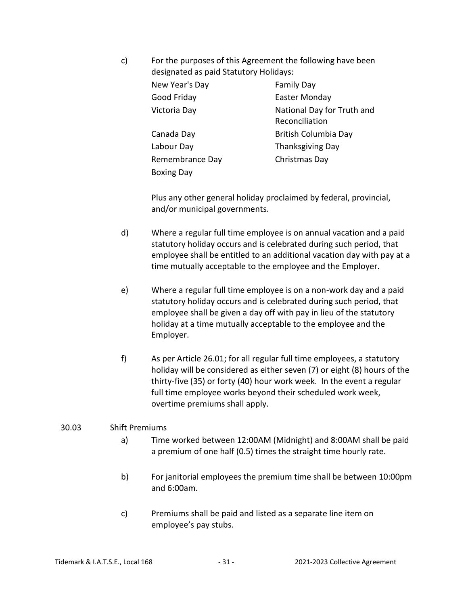c) For the purposes of this Agreement the following have been designated as paid Statutory Holidays: New Year's Day **Family Day** Good Friday **Easter Monday** Victoria Day **National Day for Truth and** Reconciliation Canada Day **British Columbia Day** Labour Day Thanksgiving Day Remembrance Day Christmas Day Boxing Day

> Plus any other general holiday proclaimed by federal, provincial, and/or municipal governments.

- d) Where a regular full time employee is on annual vacation and a paid statutory holiday occurs and is celebrated during such period, that employee shall be entitled to an additional vacation day with pay at a time mutually acceptable to the employee and the Employer.
- e) Where a regular full time employee is on a non-work day and a paid statutory holiday occurs and is celebrated during such period, that employee shall be given a day off with pay in lieu of the statutory holiday at a time mutually acceptable to the employee and the Employer.
- f) As per Article 26.01; for all regular full time employees, a statutory holiday will be considered as either seven (7) or eight (8) hours of the thirty-five (35) or forty (40) hour work week. In the event a regular full time employee works beyond their scheduled work week, overtime premiums shall apply.

## 30.03 Shift Premiums

- a) Time worked between 12:00AM (Midnight) and 8:00AM shall be paid a premium of one half (0.5) times the straight time hourly rate.
- b) For janitorial employees the premium time shall be between 10:00pm and 6:00am.
- c) Premiums shall be paid and listed as a separate line item on employee's pay stubs.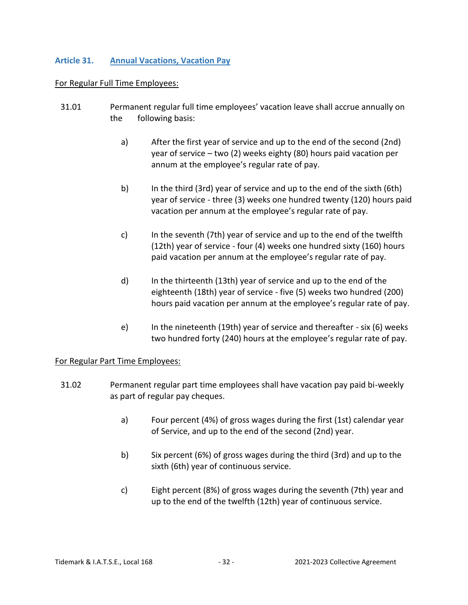## <span id="page-31-0"></span>**Article 31. Annual Vacations, Vacation Pay**

#### For Regular Full Time Employees:

- 31.01 Permanent regular full time employees' vacation leave shall accrue annually on the following basis:
	- a) After the first year of service and up to the end of the second (2nd) year of service – two (2) weeks eighty (80) hours paid vacation per annum at the employee's regular rate of pay.
	- b) In the third (3rd) year of service and up to the end of the sixth (6th) year of service - three (3) weeks one hundred twenty (120) hours paid vacation per annum at the employee's regular rate of pay.
	- c) In the seventh (7th) year of service and up to the end of the twelfth (12th) year of service - four (4) weeks one hundred sixty (160) hours paid vacation per annum at the employee's regular rate of pay.
	- d) In the thirteenth (13th) year of service and up to the end of the eighteenth (18th) year of service - five (5) weeks two hundred (200) hours paid vacation per annum at the employee's regular rate of pay.
	- e) In the nineteenth (19th) year of service and thereafter six (6) weeks two hundred forty (240) hours at the employee's regular rate of pay.

## For Regular Part Time Employees:

- 31.02 Permanent regular part time employees shall have vacation pay paid bi-weekly as part of regular pay cheques.
	- a) Four percent (4%) of gross wages during the first (1st) calendar year of Service, and up to the end of the second (2nd) year.
	- b) Six percent (6%) of gross wages during the third (3rd) and up to the sixth (6th) year of continuous service.
	- c) Eight percent (8%) of gross wages during the seventh (7th) year and up to the end of the twelfth (12th) year of continuous service.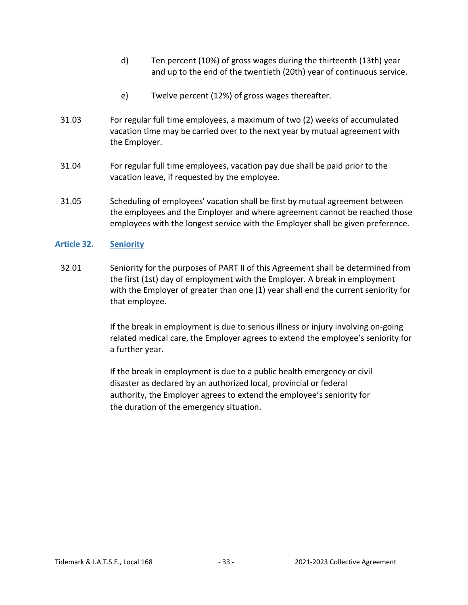- d) Ten percent (10%) of gross wages during the thirteenth (13th) year and up to the end of the twentieth (20th) year of continuous service.
- e) Twelve percent (12%) of gross wages thereafter.
- 31.03 For regular full time employees, a maximum of two (2) weeks of accumulated vacation time may be carried over to the next year by mutual agreement with the Employer.
- 31.04 For regular full time employees, vacation pay due shall be paid prior to the vacation leave, if requested by the employee.
- 31.05 Scheduling of employees' vacation shall be first by mutual agreement between the employees and the Employer and where agreement cannot be reached those employees with the longest service with the Employer shall be given preference.

## <span id="page-32-0"></span>**Article 32. Seniority**

32.01 Seniority for the purposes of PART II of this Agreement shall be determined from the first (1st) day of employment with the Employer. A break in employment with the Employer of greater than one (1) year shall end the current seniority for that employee.

> If the break in employment is due to serious illness or injury involving on-going related medical care, the Employer agrees to extend the employee's seniority for a further year.

If the break in employment is due to a public health emergency or civil disaster as declared by an authorized local, provincial or federal authority, the Employer agrees to extend the employee's seniority for the duration of the emergency situation.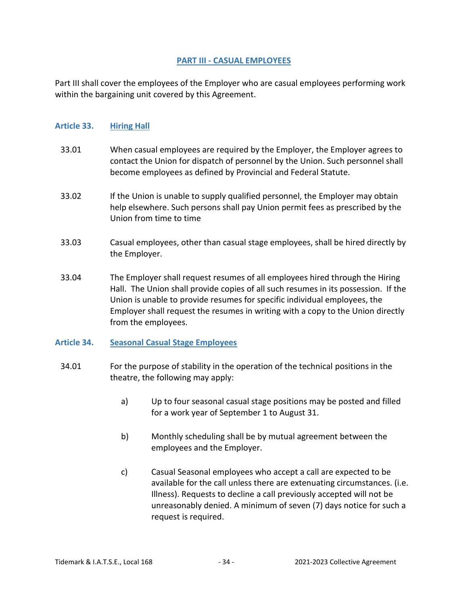## **PART III - CASUAL EMPLOYEES**

<span id="page-33-0"></span>Part III shall cover the employees of the Employer who are casual employees performing work within the bargaining unit covered by this Agreement.

#### <span id="page-33-1"></span>**Article 33. Hiring Hall**

- 33.01 When casual employees are required by the Employer, the Employer agrees to contact the Union for dispatch of personnel by the Union. Such personnel shall become employees as defined by Provincial and Federal Statute.
- 33.02 If the Union is unable to supply qualified personnel, the Employer may obtain help elsewhere. Such persons shall pay Union permit fees as prescribed by the Union from time to time
- 33.03 Casual employees, other than casual stage employees, shall be hired directly by the Employer.
- 33.04 The Employer shall request resumes of all employees hired through the Hiring Hall. The Union shall provide copies of all such resumes in its possession. If the Union is unable to provide resumes for specific individual employees, the Employer shall request the resumes in writing with a copy to the Union directly from the employees.

## <span id="page-33-2"></span>**Article 34. Seasonal Casual Stage Employees**

- 34.01 For the purpose of stability in the operation of the technical positions in the theatre, the following may apply:
	- a) Up to four seasonal casual stage positions may be posted and filled for a work year of September 1 to August 31.
	- b) Monthly scheduling shall be by mutual agreement between the employees and the Employer.
	- c) Casual Seasonal employees who accept a call are expected to be available for the call unless there are extenuating circumstances. (i.e. Illness). Requests to decline a call previously accepted will not be unreasonably denied. A minimum of seven (7) days notice for such a request is required.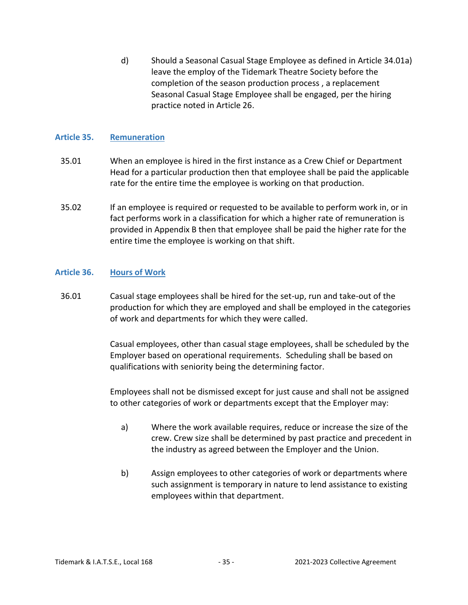d) Should a Seasonal Casual Stage Employee as defined in Article 34.01a) leave the employ of the Tidemark Theatre Society before the completion of the season production process , a replacement Seasonal Casual Stage Employee shall be engaged, per the hiring practice noted in Article 26.

## <span id="page-34-0"></span>**Article 35. Remuneration**

- 35.01 When an employee is hired in the first instance as a Crew Chief or Department Head for a particular production then that employee shall be paid the applicable rate for the entire time the employee is working on that production.
- 35.02 If an employee is required or requested to be available to perform work in, or in fact performs work in a classification for which a higher rate of remuneration is provided in Appendix B then that employee shall be paid the higher rate for the entire time the employee is working on that shift.

## <span id="page-34-1"></span>**Article 36. Hours of Work**

36.01 Casual stage employees shall be hired for the set-up, run and take-out of the production for which they are employed and shall be employed in the categories of work and departments for which they were called.

> Casual employees, other than casual stage employees, shall be scheduled by the Employer based on operational requirements. Scheduling shall be based on qualifications with seniority being the determining factor.

> Employees shall not be dismissed except for just cause and shall not be assigned to other categories of work or departments except that the Employer may:

- a) Where the work available requires, reduce or increase the size of the crew. Crew size shall be determined by past practice and precedent in the industry as agreed between the Employer and the Union.
- b) Assign employees to other categories of work or departments where such assignment is temporary in nature to lend assistance to existing employees within that department.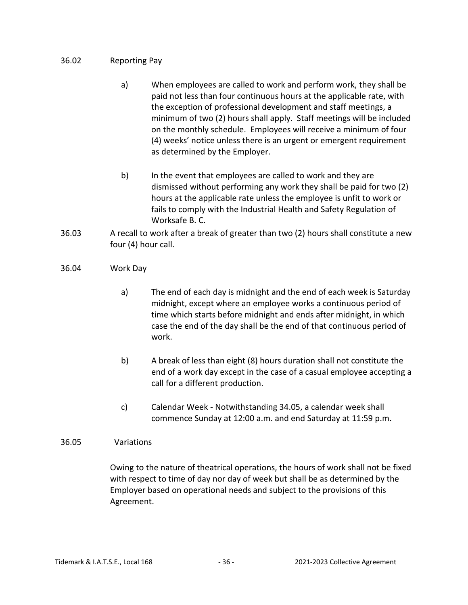## 36.02 Reporting Pay

- a) When employees are called to work and perform work, they shall be paid not less than four continuous hours at the applicable rate, with the exception of professional development and staff meetings, a minimum of two (2) hours shall apply. Staff meetings will be included on the monthly schedule. Employees will receive a minimum of four (4) weeks' notice unless there is an urgent or emergent requirement as determined by the Employer.
- b) In the event that employees are called to work and they are dismissed without performing any work they shall be paid for two (2) hours at the applicable rate unless the employee is unfit to work or fails to comply with the Industrial Health and Safety Regulation of Worksafe B. C.
- 36.03 A recall to work after a break of greater than two (2) hours shall constitute a new four (4) hour call.
- 36.04 Work Day
	- a) The end of each day is midnight and the end of each week is Saturday midnight, except where an employee works a continuous period of time which starts before midnight and ends after midnight, in which case the end of the day shall be the end of that continuous period of work.
	- b) A break of less than eight (8) hours duration shall not constitute the end of a work day except in the case of a casual employee accepting a call for a different production.
	- c) Calendar Week Notwithstanding 34.05, a calendar week shall commence Sunday at 12:00 a.m. and end Saturday at 11:59 p.m.

## 36.05 Variations

Owing to the nature of theatrical operations, the hours of work shall not be fixed with respect to time of day nor day of week but shall be as determined by the Employer based on operational needs and subject to the provisions of this Agreement.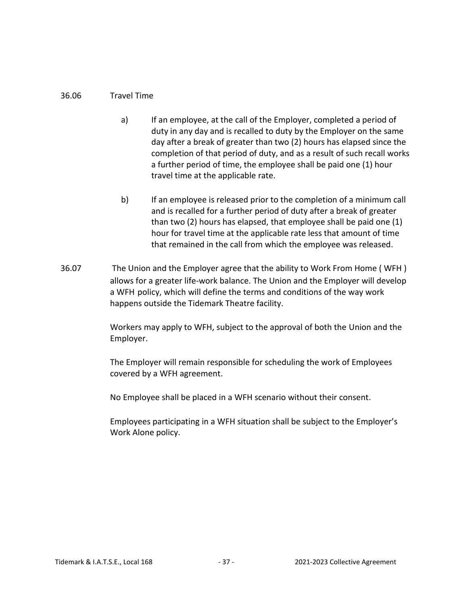## 36.06 Travel Time

- a) If an employee, at the call of the Employer, completed a period of duty in any day and is recalled to duty by the Employer on the same day after a break of greater than two (2) hours has elapsed since the completion of that period of duty, and as a result of such recall works a further period of time, the employee shall be paid one (1) hour travel time at the applicable rate.
- b) If an employee is released prior to the completion of a minimum call and is recalled for a further period of duty after a break of greater than two (2) hours has elapsed, that employee shall be paid one (1) hour for travel time at the applicable rate less that amount of time that remained in the call from which the employee was released.
- 36.07 The Union and the Employer agree that the ability to Work From Home ( WFH ) allows for a greater life-work balance. The Union and the Employer will develop a WFH policy, which will define the terms and conditions of the way work happens outside the Tidemark Theatre facility.

Workers may apply to WFH, subject to the approval of both the Union and the Employer.

The Employer will remain responsible for scheduling the work of Employees covered by a WFH agreement.

No Employee shall be placed in a WFH scenario without their consent.

Employees participating in a WFH situation shall be subject to the Employer's Work Alone policy.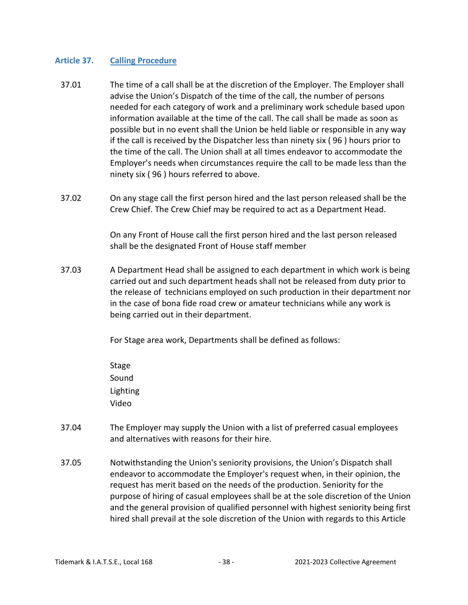## <span id="page-37-0"></span>**Article 37. Calling Procedure**

- 37.01 The time of a call shall be at the discretion of the Employer. The Employer shall advise the Union's Dispatch of the time of the call, the number of persons needed for each category of work and a preliminary work schedule based upon information available at the time of the call. The call shall be made as soon as possible but in no event shall the Union be held liable or responsible in any way if the call is received by the Dispatcher less than ninety six ( 96 ) hours prior to the time of the call. The Union shall at all times endeavor to accommodate the Employer's needs when circumstances require the call to be made less than the ninety six ( 96 ) hours referred to above.
- 37.02 On any stage call the first person hired and the last person released shall be the Crew Chief. The Crew Chief may be required to act as a Department Head.

On any Front of House call the first person hired and the last person released shall be the designated Front of House staff member

37.03 A Department Head shall be assigned to each department in which work is being carried out and such department heads shall not be released from duty prior to the release of technicians employed on such production in their department nor in the case of bona fide road crew or amateur technicians while any work is being carried out in their department.

For Stage area work, Departments shall be defined as follows:

- Stage Sound Lighting Video
- 37.04 The Employer may supply the Union with a list of preferred casual employees and alternatives with reasons for their hire.
- 37.05 Notwithstanding the Union's seniority provisions, the Union's Dispatch shall endeavor to accommodate the Employer's request when, in their opinion, the request has merit based on the needs of the production. Seniority for the purpose of hiring of casual employees shall be at the sole discretion of the Union and the general provision of qualified personnel with highest seniority being first hired shall prevail at the sole discretion of the Union with regards to this Article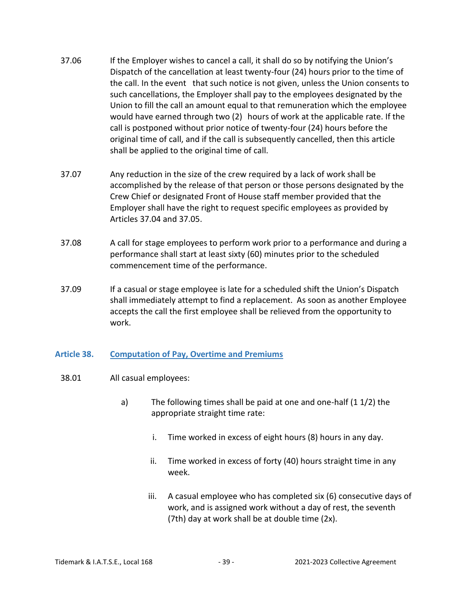- 37.06 If the Employer wishes to cancel a call, it shall do so by notifying the Union's Dispatch of the cancellation at least twenty-four (24) hours prior to the time of the call. In the event that such notice is not given, unless the Union consents to such cancellations, the Employer shall pay to the employees designated by the Union to fill the call an amount equal to that remuneration which the employee would have earned through two (2) hours of work at the applicable rate. If the call is postponed without prior notice of twenty-four (24) hours before the original time of call, and if the call is subsequently cancelled, then this article shall be applied to the original time of call.
- 37.07 Any reduction in the size of the crew required by a lack of work shall be accomplished by the release of that person or those persons designated by the Crew Chief or designated Front of House staff member provided that the Employer shall have the right to request specific employees as provided by Articles 37.04 and 37.05.
- 37.08 A call for stage employees to perform work prior to a performance and during a performance shall start at least sixty (60) minutes prior to the scheduled commencement time of the performance.
- 37.09 If a casual or stage employee is late for a scheduled shift the Union's Dispatch shall immediately attempt to find a replacement. As soon as another Employee accepts the call the first employee shall be relieved from the opportunity to work.

## <span id="page-38-0"></span>**Article 38. Computation of Pay, Overtime and Premiums**

- 38.01 All casual employees:
	- a) The following times shall be paid at one and one-half (1 1/2) the appropriate straight time rate:
		- i. Time worked in excess of eight hours (8) hours in any day.
		- ii. Time worked in excess of forty (40) hours straight time in any week.
		- iii. A casual employee who has completed six (6) consecutive days of work, and is assigned work without a day of rest, the seventh (7th) day at work shall be at double time (2x).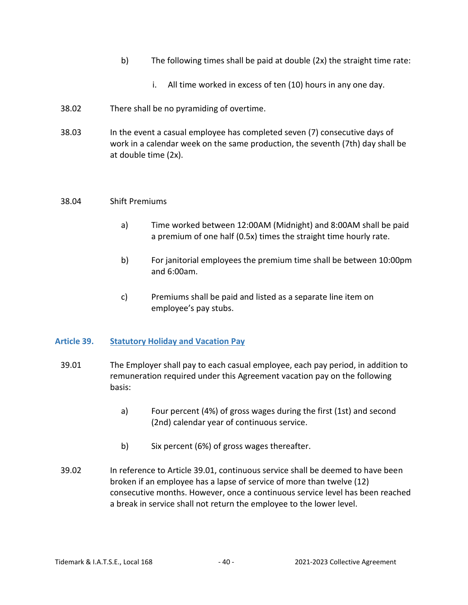- b) The following times shall be paid at double (2x) the straight time rate:
	- i. All time worked in excess of ten (10) hours in any one day.
- 38.02 There shall be no pyramiding of overtime.
- 38.03 In the event a casual employee has completed seven (7) consecutive days of work in a calendar week on the same production, the seventh (7th) day shall be at double time (2x).

#### 38.04 Shift Premiums

- a) Time worked between 12:00AM (Midnight) and 8:00AM shall be paid a premium of one half (0.5x) times the straight time hourly rate.
- b) For janitorial employees the premium time shall be between 10:00pm and 6:00am.
- c) Premiums shall be paid and listed as a separate line item on employee's pay stubs.

## <span id="page-39-0"></span>**Article 39. Statutory Holiday and Vacation Pay**

- 39.01 The Employer shall pay to each casual employee, each pay period, in addition to remuneration required under this Agreement vacation pay on the following basis:
	- a) Four percent (4%) of gross wages during the first (1st) and second (2nd) calendar year of continuous service.
	- b) Six percent (6%) of gross wages thereafter.
- 39.02 In reference to Article 39.01, continuous service shall be deemed to have been broken if an employee has a lapse of service of more than twelve (12) consecutive months. However, once a continuous service level has been reached a break in service shall not return the employee to the lower level.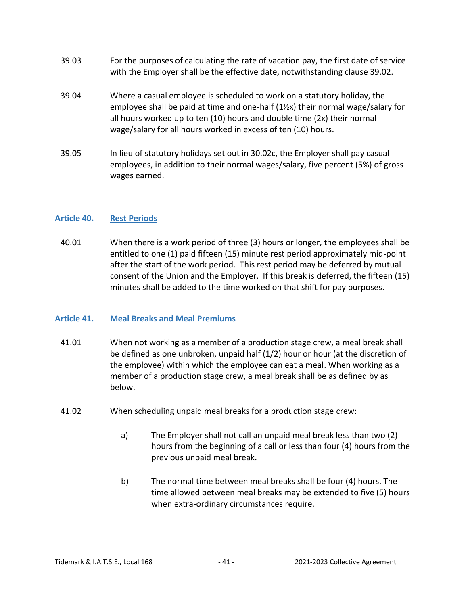- 39.03 For the purposes of calculating the rate of vacation pay, the first date of service with the Employer shall be the effective date, notwithstanding clause 39.02.
- 39.04 Where a casual employee is scheduled to work on a statutory holiday, the employee shall be paid at time and one-half (1½x) their normal wage/salary for all hours worked up to ten (10) hours and double time (2x) their normal wage/salary for all hours worked in excess of ten (10) hours.
- 39.05 In lieu of statutory holidays set out in 30.02c, the Employer shall pay casual employees, in addition to their normal wages/salary, five percent (5%) of gross wages earned.

## <span id="page-40-0"></span>**Article 40. Rest Periods**

40.01 When there is a work period of three (3) hours or longer, the employees shall be entitled to one (1) paid fifteen (15) minute rest period approximately mid-point after the start of the work period. This rest period may be deferred by mutual consent of the Union and the Employer. If this break is deferred, the fifteen (15) minutes shall be added to the time worked on that shift for pay purposes.

## <span id="page-40-1"></span>**Article 41. Meal Breaks and Meal Premiums**

- 41.01 When not working as a member of a production stage crew, a meal break shall be defined as one unbroken, unpaid half (1/2) hour or hour (at the discretion of the employee) within which the employee can eat a meal. When working as a member of a production stage crew, a meal break shall be as defined by as below.
- 41.02 When scheduling unpaid meal breaks for a production stage crew:
	- a) The Employer shall not call an unpaid meal break less than two (2) hours from the beginning of a call or less than four (4) hours from the previous unpaid meal break.
	- b) The normal time between meal breaks shall be four (4) hours. The time allowed between meal breaks may be extended to five (5) hours when extra-ordinary circumstances require.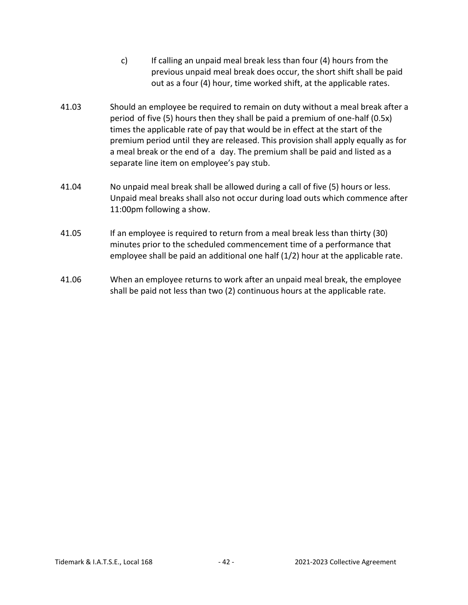- c) If calling an unpaid meal break less than four (4) hours from the previous unpaid meal break does occur, the short shift shall be paid out as a four (4) hour, time worked shift, at the applicable rates.
- 41.03 Should an employee be required to remain on duty without a meal break after a period of five (5) hours then they shall be paid a premium of one-half (0.5x) times the applicable rate of pay that would be in effect at the start of the premium period until they are released. This provision shall apply equally as for a meal break or the end of a day. The premium shall be paid and listed as a separate line item on employee's pay stub.
- 41.04 No unpaid meal break shall be allowed during a call of five (5) hours or less. Unpaid meal breaks shall also not occur during load outs which commence after 11:00pm following a show.
- 41.05 If an employee is required to return from a meal break less than thirty (30) minutes prior to the scheduled commencement time of a performance that employee shall be paid an additional one half (1/2) hour at the applicable rate.
- 41.06 When an employee returns to work after an unpaid meal break, the employee shall be paid not less than two (2) continuous hours at the applicable rate.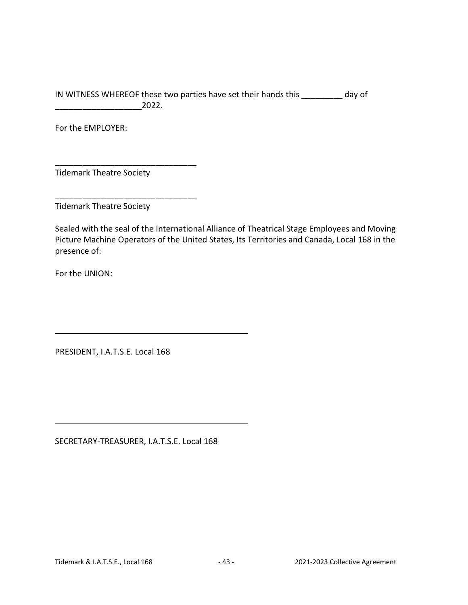IN WITNESS WHEREOF these two parties have set their hands this \_\_\_\_\_\_\_\_\_ day of  $2022.$ 

For the EMPLOYER:

Tidemark Theatre Society

\_\_\_\_\_\_\_\_\_\_\_\_\_\_\_\_\_\_\_\_\_\_\_\_\_\_\_\_\_\_\_

\_\_\_\_\_\_\_\_\_\_\_\_\_\_\_\_\_\_\_\_\_\_\_\_\_\_\_\_\_\_\_

Tidemark Theatre Society

Sealed with the seal of the International Alliance of Theatrical Stage Employees and Moving Picture Machine Operators of the United States, Its Territories and Canada, Local 168 in the presence of:

For the UNION:

PRESIDENT, I.A.T.S.E. Local 168

SECRETARY-TREASURER, I.A.T.S.E. Local 168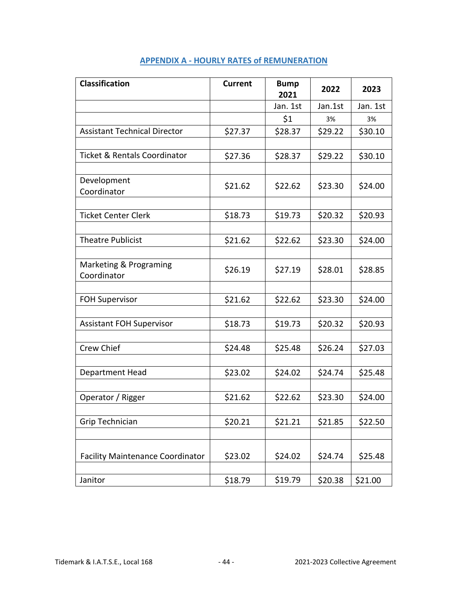<span id="page-43-0"></span>

| <b>Classification</b>                   | <b>Current</b> | <b>Bump</b><br>2021 | 2022    | 2023     |
|-----------------------------------------|----------------|---------------------|---------|----------|
|                                         |                | Jan. 1st            | Jan.1st | Jan. 1st |
|                                         |                | \$1                 | 3%      | 3%       |
| <b>Assistant Technical Director</b>     | \$27.37        | \$28.37             | \$29.22 | \$30.10  |
|                                         |                |                     |         |          |
| <b>Ticket &amp; Rentals Coordinator</b> | \$27.36        | \$28.37             | \$29.22 | \$30.10  |
| Development                             |                |                     |         |          |
| Coordinator                             | \$21.62        | \$22.62             | \$23.30 | \$24.00  |
|                                         |                |                     |         |          |
| <b>Ticket Center Clerk</b>              | \$18.73        | \$19.73             | \$20.32 | \$20.93  |
| <b>Theatre Publicist</b>                | \$21.62        | \$22.62             | \$23.30 | \$24.00  |
|                                         |                |                     |         |          |
| Marketing & Programing<br>Coordinator   | \$26.19        | \$27.19             | \$28.01 | \$28.85  |
|                                         |                |                     |         |          |
| <b>FOH Supervisor</b>                   | \$21.62        | \$22.62             | \$23.30 | \$24.00  |
| <b>Assistant FOH Supervisor</b>         | \$18.73        | \$19.73             | \$20.32 | \$20.93  |
|                                         |                |                     |         |          |
| Crew Chief                              | \$24.48        | \$25.48             | \$26.24 | \$27.03  |
| Department Head                         | \$23.02        | \$24.02             | \$24.74 | \$25.48  |
|                                         |                |                     |         |          |
| Operator / Rigger                       | \$21.62        | \$22.62             | \$23.30 | \$24.00  |
| <b>Grip Technician</b>                  | \$20.21        | \$21.21             | \$21.85 | \$22.50  |
|                                         |                |                     |         |          |
| <b>Facility Maintenance Coordinator</b> | \$23.02        | \$24.02             | \$24.74 | \$25.48  |
|                                         |                |                     |         |          |
| Janitor                                 | \$18.79        | \$19.79             | \$20.38 | \$21.00  |

## **APPENDIX A - HOURLY RATES of REMUNERATION**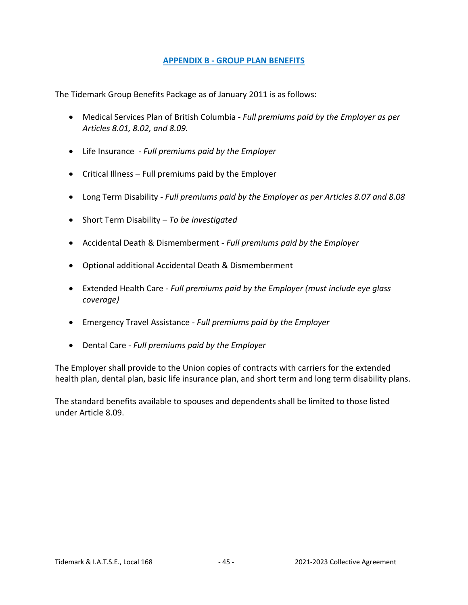## **APPENDIX B - GROUP PLAN BENEFITS**

<span id="page-44-0"></span>The Tidemark Group Benefits Package as of January 2011 is as follows:

- Medical Services Plan of British Columbia *Full premiums paid by the Employer as per Articles 8.01, 8.02, and 8.09.*
- Life Insurance *- Full premiums paid by the Employer*
- $\bullet$  Critical Illness Full premiums paid by the Employer
- Long Term Disability *Full premiums paid by the Employer as per Articles 8.07 and 8.08*
- Short Term Disability *To be investigated*
- Accidental Death & Dismemberment *Full premiums paid by the Employer*
- Optional additional Accidental Death & Dismemberment
- Extended Health Care *Full premiums paid by the Employer (must include eye glass coverage)*
- Emergency Travel Assistance *Full premiums paid by the Employer*
- Dental Care *Full premiums paid by the Employer*

The Employer shall provide to the Union copies of contracts with carriers for the extended health plan, dental plan, basic life insurance plan, and short term and long term disability plans.

The standard benefits available to spouses and dependents shall be limited to those listed under Article 8.09.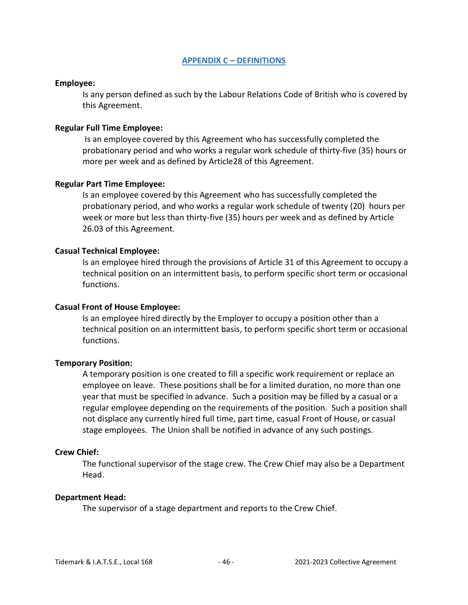#### **APPENDIX C – DEFINITIONS**

#### <span id="page-45-0"></span>**Employee:**

Is any person defined as such by the Labour Relations Code of British who is covered by this Agreement.

#### **Regular Full Time Employee:**

Is an employee covered by this Agreement who has successfully completed the probationary period and who works a regular work schedule of thirty-five (35) hours or more per week and as defined by Article28 of this Agreement.

#### **Regular Part Time Employee:**

Is an employee covered by this Agreement who has successfully completed the probationary period, and who works a regular work schedule of twenty (20) hours per week or more but less than thirty-five (35) hours per week and as defined by Article 26.03 of this Agreement.

#### **Casual Technical Employee:**

Is an employee hired through the provisions of Article 31 of this Agreement to occupy a technical position on an intermittent basis, to perform specific short term or occasional functions.

#### **Casual Front of House Employee:**

Is an employee hired directly by the Employer to occupy a position other than a technical position on an intermittent basis, to perform specific short term or occasional functions.

## **Temporary Position:**

A temporary position is one created to fill a specific work requirement or replace an employee on leave. These positions shall be for a limited duration, no more than one year that must be specified in advance. Such a position may be filled by a casual or a regular employee depending on the requirements of the position. Such a position shall not displace any currently hired full time, part time, casual Front of House, or casual stage employees. The Union shall be notified in advance of any such postings.

#### **Crew Chief:**

The functional supervisor of the stage crew. The Crew Chief may also be a Department Head.

#### **Department Head:**

The supervisor of a stage department and reports to the Crew Chief.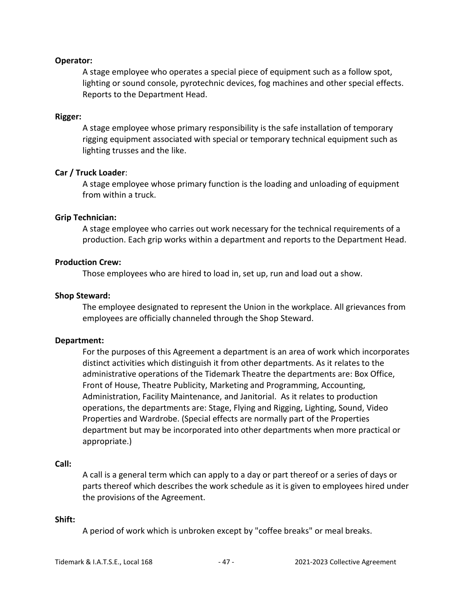#### **Operator:**

A stage employee who operates a special piece of equipment such as a follow spot, lighting or sound console, pyrotechnic devices, fog machines and other special effects. Reports to the Department Head.

#### **Rigger:**

A stage employee whose primary responsibility is the safe installation of temporary rigging equipment associated with special or temporary technical equipment such as lighting trusses and the like.

#### **Car / Truck Loader**:

A stage employee whose primary function is the loading and unloading of equipment from within a truck.

#### **Grip Technician:**

A stage employee who carries out work necessary for the technical requirements of a production. Each grip works within a department and reports to the Department Head.

#### **Production Crew:**

Those employees who are hired to load in, set up, run and load out a show.

#### **Shop Steward:**

The employee designated to represent the Union in the workplace. All grievances from employees are officially channeled through the Shop Steward.

#### **Department:**

For the purposes of this Agreement a department is an area of work which incorporates distinct activities which distinguish it from other departments. As it relates to the administrative operations of the Tidemark Theatre the departments are: Box Office, Front of House, Theatre Publicity, Marketing and Programming, Accounting, Administration, Facility Maintenance, and Janitorial. As it relates to production operations, the departments are: Stage, Flying and Rigging, Lighting, Sound, Video Properties and Wardrobe. (Special effects are normally part of the Properties department but may be incorporated into other departments when more practical or appropriate.)

#### **Call:**

A call is a general term which can apply to a day or part thereof or a series of days or parts thereof which describes the work schedule as it is given to employees hired under the provisions of the Agreement.

#### **Shift:**

A period of work which is unbroken except by "coffee breaks" or meal breaks.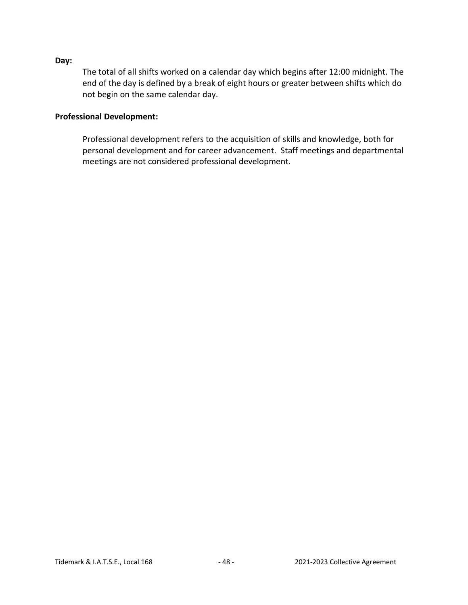#### **Day:**

The total of all shifts worked on a calendar day which begins after 12:00 midnight. The end of the day is defined by a break of eight hours or greater between shifts which do not begin on the same calendar day.

#### **Professional Development:**

Professional development refers to the acquisition of skills and knowledge, both for personal development and for career advancement. Staff meetings and departmental meetings are not considered professional development.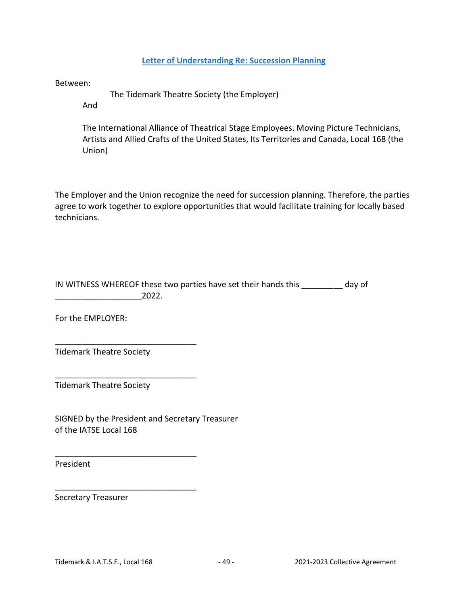## **Letter of Understanding Re: Succession Planning**

<span id="page-48-0"></span>Between:

The Tidemark Theatre Society (the Employer)

And

The International Alliance of Theatrical Stage Employees. Moving Picture Technicians, Artists and Allied Crafts of the United States, Its Territories and Canada, Local 168 (the Union)

The Employer and the Union recognize the need for succession planning. Therefore, the parties agree to work together to explore opportunities that would facilitate training for locally based technicians.

IN WITNESS WHEREOF these two parties have set their hands this \_\_\_\_\_\_\_\_\_ day of \_\_\_\_\_\_\_\_\_\_\_\_\_\_\_\_\_\_\_2022.

For the EMPLOYER:

Tidemark Theatre Society

\_\_\_\_\_\_\_\_\_\_\_\_\_\_\_\_\_\_\_\_\_\_\_\_\_\_\_\_\_\_\_

\_\_\_\_\_\_\_\_\_\_\_\_\_\_\_\_\_\_\_\_\_\_\_\_\_\_\_\_\_\_\_

\_\_\_\_\_\_\_\_\_\_\_\_\_\_\_\_\_\_\_\_\_\_\_\_\_\_\_\_\_\_\_

\_\_\_\_\_\_\_\_\_\_\_\_\_\_\_\_\_\_\_\_\_\_\_\_\_\_\_\_\_\_\_

Tidemark Theatre Society

SIGNED by the President and Secretary Treasurer of the IATSE Local 168

President

Secretary Treasurer